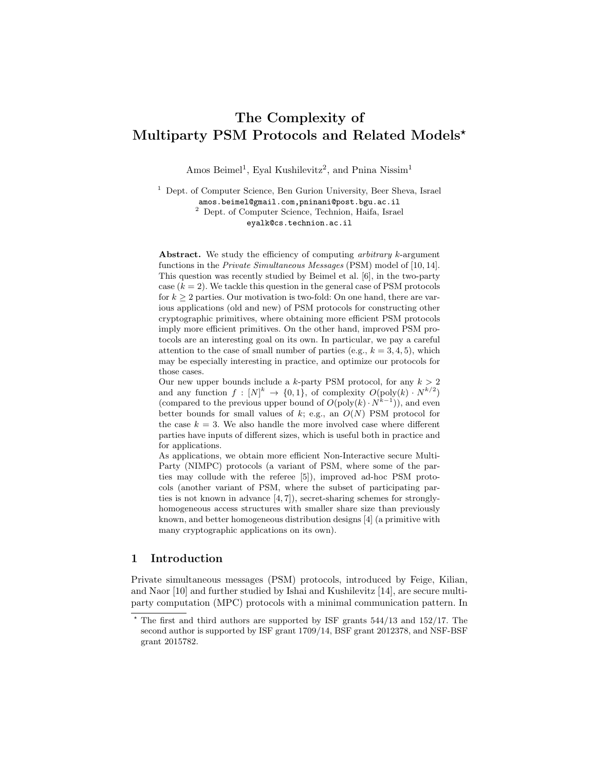# The Complexity of Multiparty PSM Protocols and Related Models?

Amos Beimel<sup>1</sup>, Eyal Kushilevitz<sup>2</sup>, and Pnina Nissim<sup>1</sup>

<sup>1</sup> Dept. of Computer Science, Ben Gurion University, Beer Sheva, Israel amos.beimel@gmail.com,pninani@post.bgu.ac.il <sup>2</sup> Dept. of Computer Science, Technion, Haifa, Israel eyalk@cs.technion.ac.il

Abstract. We study the efficiency of computing *arbitrary* k-argument functions in the Private Simultaneous Messages (PSM) model of [10, 14]. This question was recently studied by Beimel et al. [6], in the two-party case  $(k = 2)$ . We tackle this question in the general case of PSM protocols for  $k \geq 2$  parties. Our motivation is two-fold: On one hand, there are various applications (old and new) of PSM protocols for constructing other cryptographic primitives, where obtaining more efficient PSM protocols imply more efficient primitives. On the other hand, improved PSM protocols are an interesting goal on its own. In particular, we pay a careful attention to the case of small number of parties (e.g.,  $k = 3, 4, 5$ ), which may be especially interesting in practice, and optimize our protocols for those cases.

Our new upper bounds include a k-party PSM protocol, for any  $k > 2$ and any function  $f: [N]^k \to \{0,1\}$ , of complexity  $O(poly(k) \cdot N^{k/2})$ (compared to the previous upper bound of  $O(poly(k) \cdot N^{k-1})$ ), and even better bounds for small values of k; e.g., an  $O(N)$  PSM protocol for the case  $k = 3$ . We also handle the more involved case where different parties have inputs of different sizes, which is useful both in practice and for applications.

As applications, we obtain more efficient Non-Interactive secure Multi-Party (NIMPC) protocols (a variant of PSM, where some of the parties may collude with the referee [5]), improved ad-hoc PSM protocols (another variant of PSM, where the subset of participating parties is not known in advance [4, 7]), secret-sharing schemes for stronglyhomogeneous access structures with smaller share size than previously known, and better homogeneous distribution designs [4] (a primitive with many cryptographic applications on its own).

# 1 Introduction

Private simultaneous messages (PSM) protocols, introduced by Feige, Kilian, and Naor [10] and further studied by Ishai and Kushilevitz [14], are secure multiparty computation (MPC) protocols with a minimal communication pattern. In

 $*$  The first and third authors are supported by ISF grants  $544/13$  and  $152/17$ . The second author is supported by ISF grant 1709/14, BSF grant 2012378, and NSF-BSF grant 2015782.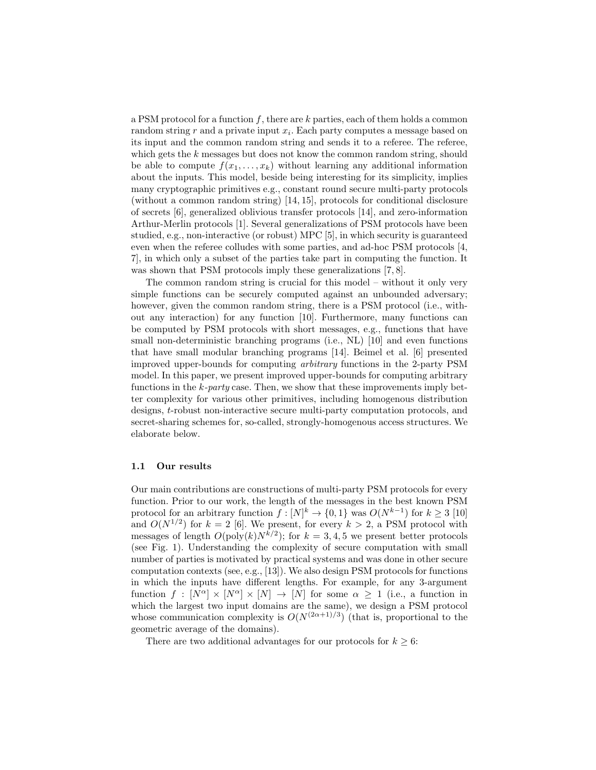a PSM protocol for a function  $f$ , there are k parties, each of them holds a common random string  $r$  and a private input  $x_i$ . Each party computes a message based on its input and the common random string and sends it to a referee. The referee, which gets the k messages but does not know the common random string, should be able to compute  $f(x_1, \ldots, x_k)$  without learning any additional information about the inputs. This model, beside being interesting for its simplicity, implies many cryptographic primitives e.g., constant round secure multi-party protocols (without a common random string) [14, 15], protocols for conditional disclosure of secrets [6], generalized oblivious transfer protocols [14], and zero-information Arthur-Merlin protocols [1]. Several generalizations of PSM protocols have been studied, e.g., non-interactive (or robust) MPC [5], in which security is guaranteed even when the referee colludes with some parties, and ad-hoc PSM protocols [4, 7], in which only a subset of the parties take part in computing the function. It was shown that PSM protocols imply these generalizations [7, 8].

The common random string is crucial for this model – without it only very simple functions can be securely computed against an unbounded adversary; however, given the common random string, there is a PSM protocol (i.e., without any interaction) for any function [10]. Furthermore, many functions can be computed by PSM protocols with short messages, e.g., functions that have small non-deterministic branching programs (i.e., NL) [10] and even functions that have small modular branching programs [14]. Beimel et al. [6] presented improved upper-bounds for computing arbitrary functions in the 2-party PSM model. In this paper, we present improved upper-bounds for computing arbitrary functions in the  $k$ -party case. Then, we show that these improvements imply better complexity for various other primitives, including homogenous distribution designs, t-robust non-interactive secure multi-party computation protocols, and secret-sharing schemes for, so-called, strongly-homogenous access structures. We elaborate below.

### 1.1 Our results

Our main contributions are constructions of multi-party PSM protocols for every function. Prior to our work, the length of the messages in the best known PSM protocol for an arbitrary function  $f: [N]^k \to \{0,1\}$  was  $O(N^{k-1})$  for  $k \geq 3$  [10] and  $O(N^{1/2})$  for  $k = 2$  [6]. We present, for every  $k > 2$ , a PSM protocol with messages of length  $O(poly(k)N^{k/2})$ ; for  $k = 3, 4, 5$  we present better protocols (see Fig. 1). Understanding the complexity of secure computation with small number of parties is motivated by practical systems and was done in other secure computation contexts (see, e.g., [13]). We also design PSM protocols for functions in which the inputs have different lengths. For example, for any 3-argument function  $f : [N^{\alpha}] \times [N^{\alpha}] \times [N] \rightarrow [N]$  for some  $\alpha \geq 1$  (i.e., a function in which the largest two input domains are the same), we design a PSM protocol whose communication complexity is  $O(N^{(2\alpha+1)/3})$  (that is, proportional to the geometric average of the domains).

There are two additional advantages for our protocols for  $k \geq 6$ :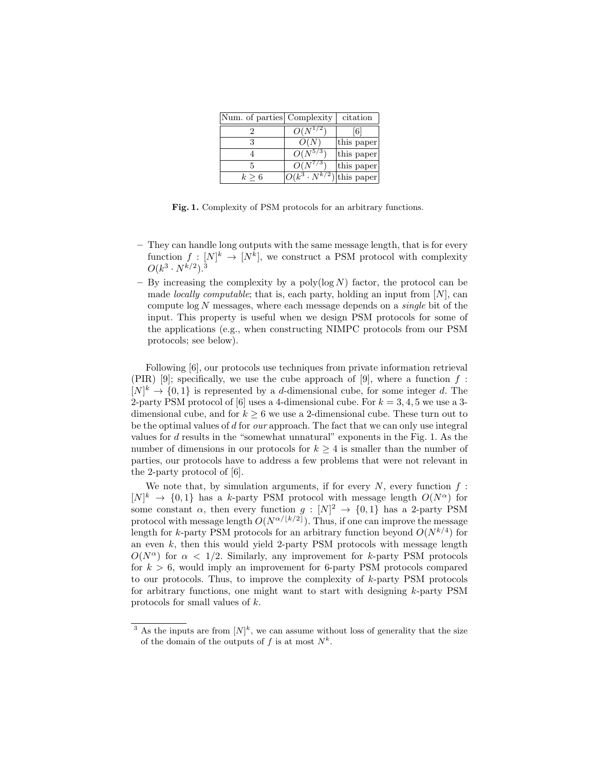| Num. of parties Complexity |                          | citation   |
|----------------------------|--------------------------|------------|
|                            | $O(N^{1/2})$             | [6]        |
|                            | O(N)                     | this paper |
|                            | $O(N^{5/3})$             | this paper |
|                            | $O(N^{7/3})$             | this paper |
| $k \geq 6$                 | $ O(k^3 \cdot N^{k/2}) $ | this paper |

Fig. 1. Complexity of PSM protocols for an arbitrary functions.

- They can handle long outputs with the same message length, that is for every function  $f: [N]^k \to [N^k]$ , we construct a PSM protocol with complexity  $O(k^3 \cdot N^{k/2})$ .<sup>3</sup>
- By increasing the complexity by a poly( $log N$ ) factor, the protocol can be made *locally computable*; that is, each party, holding an input from  $[N]$ , can compute  $\log N$  messages, where each message depends on a *single* bit of the input. This property is useful when we design PSM protocols for some of the applications (e.g., when constructing NIMPC protocols from our PSM protocols; see below).

Following [6], our protocols use techniques from private information retrieval (PIR) [9]; specifically, we use the cube approach of [9], where a function  $f$ :  $[N]^k \to \{0,1\}$  is represented by a *d*-dimensional cube, for some integer *d*. The 2-party PSM protocol of [6] uses a 4-dimensional cube. For  $k = 3, 4, 5$  we use a 3dimensional cube, and for  $k \geq 6$  we use a 2-dimensional cube. These turn out to be the optimal values of d for our approach. The fact that we can only use integral values for  $d$  results in the "somewhat unnatural" exponents in the Fig. 1. As the number of dimensions in our protocols for  $k \geq 4$  is smaller than the number of parties, our protocols have to address a few problems that were not relevant in the 2-party protocol of [6].

We note that, by simulation arguments, if for every  $N$ , every function  $f$ :  $[N]^k \to \{0,1\}$  has a k-party PSM protocol with message length  $O(N^{\alpha})$  for some constant  $\alpha$ , then every function  $g: [N]^2 \to \{0,1\}$  has a 2-party PSM protocol with message length  $O(N^{\alpha/\lfloor k/2 \rfloor})$ . Thus, if one can improve the message length for k-party PSM protocols for an arbitrary function beyond  $O(N^{k/4})$  for an even  $k$ , then this would yield 2-party PSM protocols with message length  $O(N^{\alpha})$  for  $\alpha < 1/2$ . Similarly, any improvement for k-party PSM protocols for  $k > 6$ , would imply an improvement for 6-party PSM protocols compared to our protocols. Thus, to improve the complexity of k-party PSM protocols for arbitrary functions, one might want to start with designing k-party PSM protocols for small values of k.

<sup>&</sup>lt;sup>3</sup> As the inputs are from  $[N]^k$ , we can assume without loss of generality that the size of the domain of the outputs of f is at most  $N^k$ .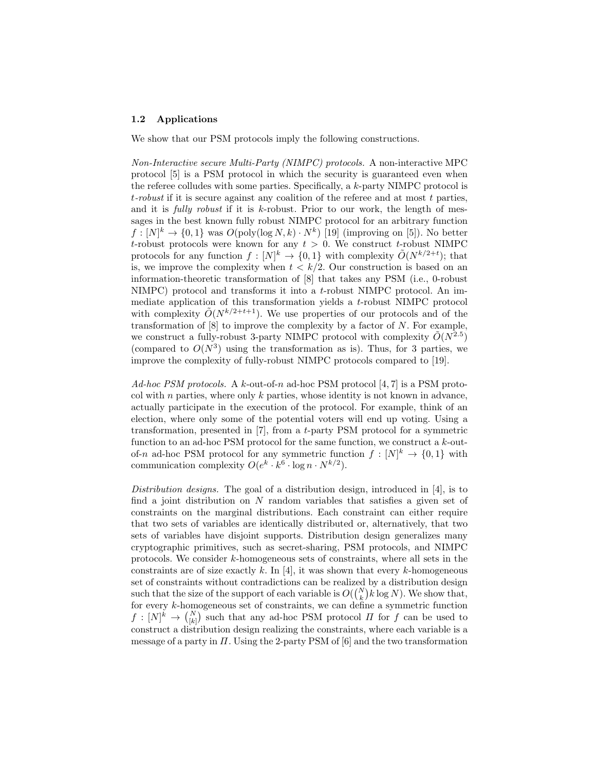### 1.2 Applications

We show that our PSM protocols imply the following constructions.

Non-Interactive secure Multi-Party (NIMPC) protocols. A non-interactive MPC protocol [5] is a PSM protocol in which the security is guaranteed even when the referee colludes with some parties. Specifically, a  $k$ -party NIMPC protocol is t-robust if it is secure against any coalition of the referee and at most t parties, and it is *fully robust* if it is  $k$ -robust. Prior to our work, the length of messages in the best known fully robust NIMPC protocol for an arbitrary function  $f: [N]^k \to \{0,1\}$  was  $O(poly(\log N, k) \cdot N^k)$  [19] (improving on [5]). No better t-robust protocols were known for any  $t > 0$ . We construct t-robust NIMPC protocols for any function  $f: [N]^k \to \{0,1\}$  with complexity  $\tilde{O}(N^{k/2+t})$ ; that is, we improve the complexity when  $t < k/2$ . Our construction is based on an information-theoretic transformation of [8] that takes any PSM (i.e., 0-robust NIMPC) protocol and transforms it into a t-robust NIMPC protocol. An immediate application of this transformation yields a t-robust NIMPC protocol with complexity  $\tilde{O}(N^{k/2+t+1})$ . We use properties of our protocols and of the transformation of  $[8]$  to improve the complexity by a factor of  $N$ . For example, we construct a fully-robust 3-party NIMPC protocol with complexity  $\tilde{O}(N^{2.5})$ (compared to  $O(N^3)$  using the transformation as is). Thus, for 3 parties, we improve the complexity of fully-robust NIMPC protocols compared to [19].

Ad-hoc PSM protocols. A k-out-of-n ad-hoc PSM protocol  $[4, 7]$  is a PSM protocol with  $n$  parties, where only  $k$  parties, whose identity is not known in advance, actually participate in the execution of the protocol. For example, think of an election, where only some of the potential voters will end up voting. Using a transformation, presented in [7], from a t-party PSM protocol for a symmetric function to an ad-hoc PSM protocol for the same function, we construct a k-outof-n ad-hoc PSM protocol for any symmetric function  $f: [N]^k \to \{0,1\}$  with communication complexity  $O(e^k \cdot k^6 \cdot \log n \cdot N^{k/2}).$ 

Distribution designs. The goal of a distribution design, introduced in  $[4]$ , is to find a joint distribution on N random variables that satisfies a given set of constraints on the marginal distributions. Each constraint can either require that two sets of variables are identically distributed or, alternatively, that two sets of variables have disjoint supports. Distribution design generalizes many cryptographic primitives, such as secret-sharing, PSM protocols, and NIMPC protocols. We consider k-homogeneous sets of constraints, where all sets in the constraints are of size exactly k. In [4], it was shown that every k-homogeneous set of constraints without contradictions can be realized by a distribution design such that the size of the support of each variable is  $O({N \choose k} k \log N)$ . We show that, for every k-homogeneous set of constraints, we can define a symmetric function  $f: [N]^k \to \binom{N}{[k]}$  such that any ad-hoc PSM protocol  $\Pi$  for  $f$  can be used to construct a distribution design realizing the constraints, where each variable is a message of a party in  $\Pi$ . Using the 2-party PSM of [6] and the two transformation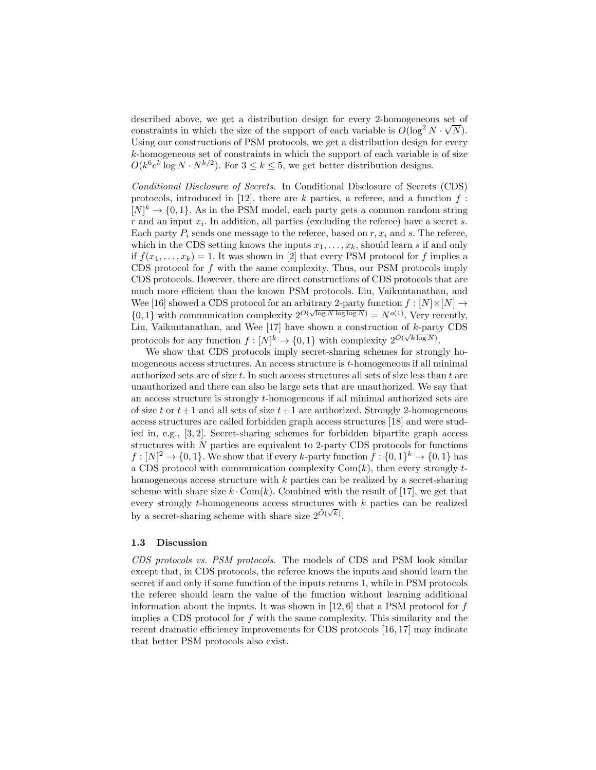described above, we get a distribution design for every 2-homogeneous set of constraints in which the size of the support of each variable is  $O(\log^2 N \cdot \sqrt{N})$ . Using our constructions of PSM protocols, we get a distribution design for every k-homogeneous set of constraints in which the support of each variable is of size  $O(k^6 e^k \log N \cdot N^{k/2})$ . For  $3 \le k \le 5$ , we get better distribution designs.

Conditional Disclosure of Secrets. In Conditional Disclosure of Secrets (CDS) protocols, introduced in [12], there are  $k$  parties, a referee, and a function  $f$ :  $[N]^k \to \{0,1\}$ . As in the PSM model, each party gets a common random string  $r$  and an input  $x_i$ . In addition, all parties (excluding the referee) have a secret s. Each party  $P_i$  sends one message to the referee, based on  $r, x_i$  and s. The referee, which in the CDS setting knows the inputs  $x_1, \ldots, x_k$ , should learn s if and only if  $f(x_1, \ldots, x_k) = 1$ . It was shown in [2] that every PSM protocol for f implies a CDS protocol for  $f$  with the same complexity. Thus, our PSM protocols imply CDS protocols. However, there are direct constructions of CDS protocols that are much more efficient than the known PSM protocols. Liu, Vaikuntanathan, and Wee [16] showed a CDS protocol for an arbitrary 2-party function  $f: [N] \times [N] \rightarrow$  $\{0, 1\}$  with communication complexity  $2^{O(\sqrt{\log N} \log \log N)} = N^{o(1)}$ . Very recently, Liu, Vaikuntanathan, and Wee  $[17]$  have shown a construction of  $k$ -party CDS protocols for any function  $f: [N]^k \to \{0, 1\}$  with complexity  $2^{\tilde{O}(\sqrt{k \log N})}$ .

We show that CDS protocols imply secret-sharing schemes for strongly homogeneous access structures. An access structure is t-homogeneous if all minimal authorized sets are of size  $t$ . In such access structures all sets of size less than  $t$  are unauthorized and there can also be large sets that are unauthorized. We say that an access structure is strongly t-homogeneous if all minimal authorized sets are of size t or  $t+1$  and all sets of size  $t+1$  are authorized. Strongly 2-homogeneous access structures are called forbidden graph access structures [18] and were studied in, e.g., [3, 2]. Secret-sharing schemes for forbidden bipartite graph access structures with  $N$  parties are equivalent to 2-party CDS protocols for functions  $f: [N]^2 \to \{0,1\}$ . We show that if every k-party function  $f: \{0,1\}^k \to \{0,1\}$  has a CDS protocol with communication complexity  $Com(k)$ , then every strongly thomogeneous access structure with  $k$  parties can be realized by a secret-sharing scheme with share size  $k \cdot \text{Com}(k)$ . Combined with the result of [17], we get that every strongly t-homogeneous access structures with k parties can be realized by a secret-sharing scheme with share size  $2^{\tilde{O}(\sqrt{k})}$ .

### 1.3 Discussion

CDS protocols vs. PSM protocols. The models of CDS and PSM look similar except that, in CDS protocols, the referee knows the inputs and should learn the secret if and only if some function of the inputs returns 1, while in PSM protocols the referee should learn the value of the function without learning additional information about the inputs. It was shown in  $[12, 6]$  that a PSM protocol for f implies a CDS protocol for f with the same complexity. This similarity and the recent dramatic efficiency improvements for CDS protocols [16, 17] may indicate that better PSM protocols also exist.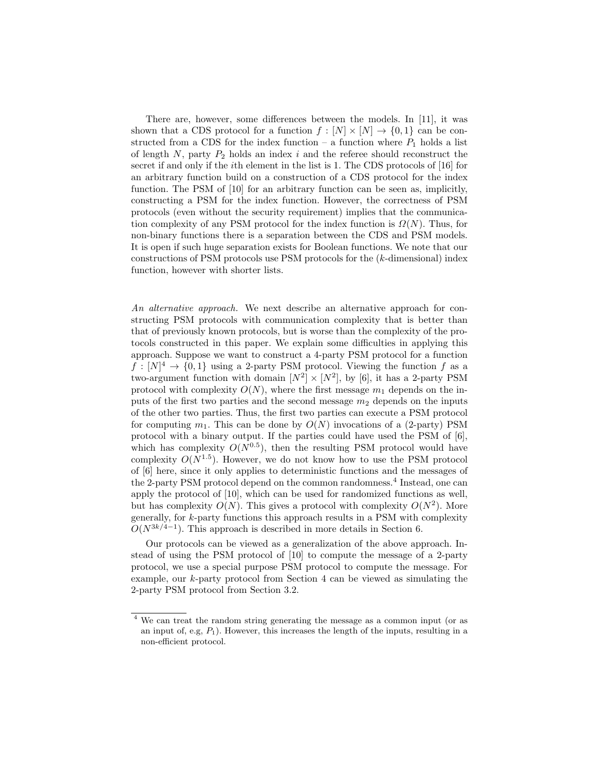There are, however, some differences between the models. In [11], it was shown that a CDS protocol for a function  $f : [N] \times [N] \rightarrow \{0,1\}$  can be constructed from a CDS for the index function – a function where  $P_1$  holds a list of length  $N$ , party  $P_2$  holds an index i and the referee should reconstruct the secret if and only if the ith element in the list is 1. The CDS protocols of [16] for an arbitrary function build on a construction of a CDS protocol for the index function. The PSM of [10] for an arbitrary function can be seen as, implicitly, constructing a PSM for the index function. However, the correctness of PSM protocols (even without the security requirement) implies that the communication complexity of any PSM protocol for the index function is  $\Omega(N)$ . Thus, for non-binary functions there is a separation between the CDS and PSM models. It is open if such huge separation exists for Boolean functions. We note that our constructions of PSM protocols use PSM protocols for the (k-dimensional) index function, however with shorter lists.

An alternative approach. We next describe an alternative approach for constructing PSM protocols with communication complexity that is better than that of previously known protocols, but is worse than the complexity of the protocols constructed in this paper. We explain some difficulties in applying this approach. Suppose we want to construct a 4-party PSM protocol for a function  $f: [N]^4 \to \{0,1\}$  using a 2-party PSM protocol. Viewing the function f as a two-argument function with domain  $[N^2] \times [N^2]$ , by [6], it has a 2-party PSM protocol with complexity  $O(N)$ , where the first message  $m_1$  depends on the inputs of the first two parties and the second message  $m_2$  depends on the inputs of the other two parties. Thus, the first two parties can execute a PSM protocol for computing  $m_1$ . This can be done by  $O(N)$  invocations of a (2-party) PSM protocol with a binary output. If the parties could have used the PSM of [6], which has complexity  $O(N^{0.5})$ , then the resulting PSM protocol would have complexity  $O(N^{1.5})$ . However, we do not know how to use the PSM protocol of [6] here, since it only applies to deterministic functions and the messages of the 2-party PSM protocol depend on the common randomness.<sup>4</sup> Instead, one can apply the protocol of [10], which can be used for randomized functions as well, but has complexity  $O(N)$ . This gives a protocol with complexity  $O(N^2)$ . More generally, for k-party functions this approach results in a PSM with complexity  $O(N^{3k/4-1})$ . This approach is described in more details in Section 6.

Our protocols can be viewed as a generalization of the above approach. Instead of using the PSM protocol of [10] to compute the message of a 2-party protocol, we use a special purpose PSM protocol to compute the message. For example, our k-party protocol from Section 4 can be viewed as simulating the 2-party PSM protocol from Section 3.2.

<sup>4</sup> We can treat the random string generating the message as a common input (or as an input of, e.g,  $P_1$ ). However, this increases the length of the inputs, resulting in a non-efficient protocol.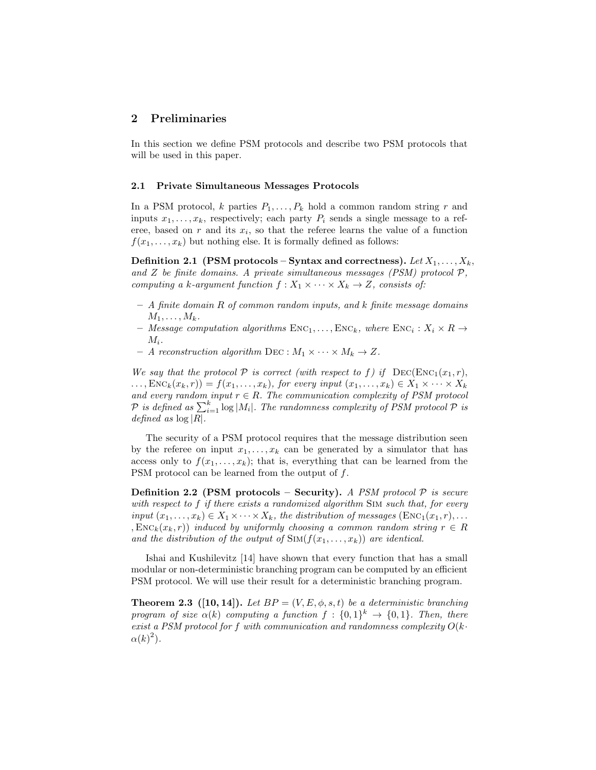# 2 Preliminaries

In this section we define PSM protocols and describe two PSM protocols that will be used in this paper.

### 2.1 Private Simultaneous Messages Protocols

In a PSM protocol, k parties  $P_1, \ldots, P_k$  hold a common random string r and inputs  $x_1, \ldots, x_k$ , respectively; each party  $P_i$  sends a single message to a referee, based on  $r$  and its  $x_i$ , so that the referee learns the value of a function  $f(x_1, \ldots, x_k)$  but nothing else. It is formally defined as follows:

Definition 2.1 (PSM protocols – Syntax and correctness). Let  $X_1, \ldots, X_k$ , and  $Z$  be finite domains. A private simultaneous messages (PSM) protocol  $P$ , computing a k-argument function  $f: X_1 \times \cdots \times X_k \to Z$ , consists of:

- $-$  A finite domain  $R$  of common random inputs, and  $k$  finite message domains  $M_1, \ldots, M_k$ .
- Message computation algorithms  $\text{Enc}_{1}, \ldots, \text{Enc}_{k}$ , where  $\text{Enc}_{i}: X_{i} \times R \rightarrow$  $M_i$ .
- A reconstruction algorithm DEC :  $M_1 \times \cdots \times M_k \to Z$ .

We say that the protocol  $P$  is correct (with respect to f) if  $\text{DEC}(\text{Enc}_1(x_1, r))$ ,  $\dots, \text{Enc}_k(x_k, r) = f(x_1, \dots, x_k)$ , for every input  $(x_1, \dots, x_k) \in X_1 \times \dots \times X_k$ and every random input  $r \in R$ . The communication complexity of PSM protocol  $\mathcal P$  is defined as  $\sum_{i=1}^k \log |M_i|$ . The randomness complexity of PSM protocol  $\mathcal P$  is defined as  $\log |R|$ .

The security of a PSM protocol requires that the message distribution seen by the referee on input  $x_1, \ldots, x_k$  can be generated by a simulator that has access only to  $f(x_1, \ldots, x_k)$ ; that is, everything that can be learned from the PSM protocol can be learned from the output of f.

**Definition 2.2 (PSM protocols – Security).** A PSM protocol  $P$  is secure with respect to f if there exists a randomized algorithm SIM such that, for every input  $(x_1, \ldots, x_k) \in X_1 \times \cdots \times X_k$ , the distribution of messages  $(\text{Enc}_1(x_1, r), \ldots,$ ,  $\text{Enc}_k(x_k, r)$  induced by uniformly choosing a common random string  $r \in R$ and the distribution of the output of  $\text{Sim}(f(x_1, \ldots, x_k))$  are identical.

Ishai and Kushilevitz [14] have shown that every function that has a small modular or non-deterministic branching program can be computed by an efficient PSM protocol. We will use their result for a deterministic branching program.

**Theorem 2.3** ([10, 14]). Let  $BP = (V, E, \phi, s, t)$  be a deterministic branching program of size  $\alpha(k)$  computing a function  $f: \{0,1\}^k \to \{0,1\}$ . Then, there exist a PSM protocol for f with communication and randomness complexity  $O(k \cdot$  $\alpha(k)^2$ ).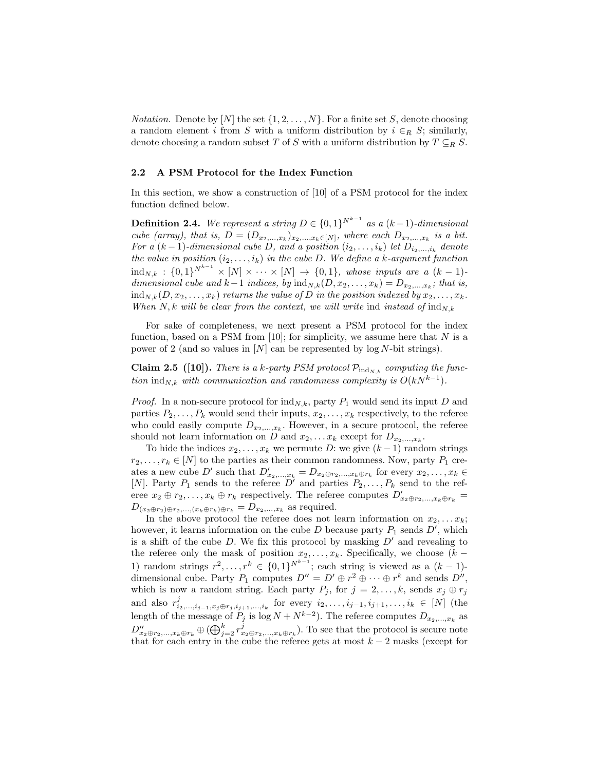*Notation.* Denote by [N] the set  $\{1, 2, ..., N\}$ . For a finite set S, denote choosing a random element i from S with a uniform distribution by  $i \in_R S$ ; similarly, denote choosing a random subset  $T$  of  $S$  with a uniform distribution by  $T \subseteq_R S$ .

### 2.2 A PSM Protocol for the Index Function

In this section, we show a construction of [10] of a PSM protocol for the index function defined below.

**Definition 2.4.** We represent a string  $D \in \{0,1\}^{N^{k-1}}$  as a  $(k-1)$ -dimensional cube (array), that is,  $D = (D_{x_2,...,x_k})_{x_2,...,x_k \in [N]}$ , where each  $D_{x_2,...,x_k}$  is a bit. For a  $(k-1)$ -dimensional cube D, and a position  $(i_2, \ldots, i_k)$  let  $D_{i_2,\ldots,i_k}$  denote the value in position  $(i_2, \ldots, i_k)$  in the cube D. We define a k-argument function  $\mathrm{ind}_{N,k} : \{0,1\}^{N^{k-1}} \times [N] \times \cdots \times [N] \rightarrow \{0,1\}$ , whose inputs are a  $(k-1)$ dimensional cube and  $k-1$  indices, by  $\text{ind}_{N,k}(D, x_2, \ldots, x_k) = D_{x_2, \ldots, x_k}$ ; that is,  $\text{ind}_{N,k}(D, x_2, \ldots, x_k)$  returns the value of D in the position indexed by  $x_2, \ldots, x_k$ . When N, k will be clear from the context, we will write ind instead of  $\text{ind}_{N,k}$ 

For sake of completeness, we next present a PSM protocol for the index function, based on a PSM from [10]; for simplicity, we assume here that  $N$  is a power of 2 (and so values in  $[N]$  can be represented by log N-bit strings).

Claim 2.5 ([10]). There is a k-party PSM protocol  $\mathcal{P}_{ind_{N,k}}$  computing the function ind<sub>N,k</sub> with communication and randomness complexity is  $O(kN^{k-1})$ .

*Proof.* In a non-secure protocol for  $\text{ind}_{N,k}$ , party  $P_1$  would send its input D and parties  $P_2, \ldots, P_k$  would send their inputs,  $x_2, \ldots, x_k$  respectively, to the referee who could easily compute  $D_{x_2,...,x_k}$ . However, in a secure protocol, the referee should not learn information on D and  $x_2, \ldots x_k$  except for  $D_{x_2,\ldots,x_k}$ .

To hide the indices  $x_2, \ldots, x_k$  we permute D: we give  $(k-1)$  random strings  $r_2, \ldots, r_k \in [N]$  to the parties as their common randomness. Now, party  $P_1$  creates a new cube D' such that  $D'_{x_2,...,x_k} = D_{x_2 \oplus r_2,...,x_k \oplus r_k}$  for every  $x_2,...,x_k \in$ [N]. Party  $P_1$  sends to the referee  $D^{\prime}$  and parties  $P_2, \ldots, P_k$  send to the referee  $x_2 \oplus r_2, \ldots, x_k \oplus r_k$  respectively. The referee computes  $D'_{x_2 \oplus r_2, \ldots, x_k \oplus r_k}$  =  $D_{(x_2 \oplus r_2) \oplus r_2,\ldots,(x_k \oplus r_k) \oplus r_k} = D_{x_2,\ldots,x_k}$  as required.

In the above protocol the referee does not learn information on  $x_2, \ldots x_k$ ; however, it learns information on the cube  $D$  because party  $P_1$  sends  $D'$ , which is a shift of the cube  $D$ . We fix this protocol by masking  $D'$  and revealing to the referee only the mask of position  $x_2, \ldots, x_k$ . Specifically, we choose  $(k -$ 1) random strings  $r^2, \ldots, r^k \in \{0,1\}^{N^{k-1}}$ ; each string is viewed as a  $(k-1)$ dimensional cube. Party  $P_1$  computes  $D'' = D' \oplus r^2 \oplus \cdots \oplus r^k$  and sends  $D''$ , which is now a random string. Each party  $P_j$ , for  $j = 2, ..., k$ , sends  $x_j \oplus r_j$ and also  $r_{i_2,...,i_{j-1},x_j\oplus r_j,i_{j+1},...,i_k}^j$  for every  $i_2,...,i_{j-1},i_{j+1},...,i_k \in [N]$  (the length of the message of  $P_j$  is  $\log N + N^{k-2}$ ). The referee computes  $D_{x_2,...,x_k}$  as  $D''_{x_2\oplus r_2,\ldots,x_k\oplus r_k}\oplus(\bigoplus_{j=2}^k r_{x_2\oplus r_2,\ldots,x_k\oplus r_k}^j)$ . To see that the protocol is secure note that for each entry in the cube the referee gets at most  $k-2$  masks (except for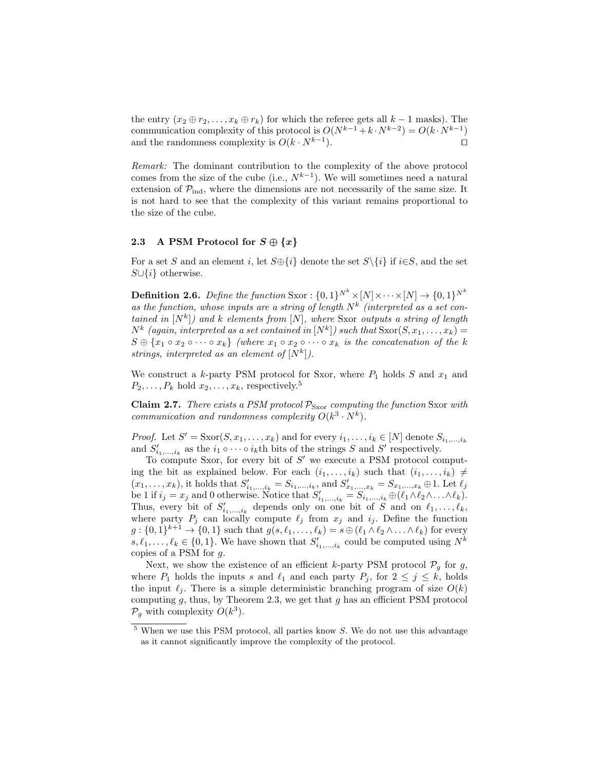the entry  $(x_2 \oplus r_2, \ldots, x_k \oplus r_k)$  for which the referee gets all  $k-1$  masks). The communication complexity of this protocol is  $O(N^{k-1} + k \cdot N^{k-2}) = O(k \cdot N^{k-1})$ and the randomness complexity is  $O(k \cdot N^{k-1})$ . ).  $\qquad \qquad \Box$ 

Remark: The dominant contribution to the complexity of the above protocol comes from the size of the cube (i.e.,  $N^{k-1}$ ). We will sometimes need a natural extension of  $P_{\text{ind}}$ , where the dimensions are not necessarily of the same size. It is not hard to see that the complexity of this variant remains proportional to the size of the cube.

## 2.3 A PSM Protocol for  $S \oplus \{x\}$

For a set S and an element i, let  $S \oplus \{i\}$  denote the set  $S \setminus \{i\}$  if  $i \in S$ , and the set  $S \cup \{i\}$  otherwise.

**Definition 2.6.** Define the function Sxor :  $\{0,1\}^{N^k} \times [N] \times \cdots \times [N] \rightarrow \{0,1\}^{N^k}$ as the function, whose inputs are a string of length  $N^k$  (interpreted as a set contained in  $[N^k]$ ) and k elements from  $[N]$ , where Sxor outputs a string of length  $N^k$  (again, interpreted as a set contained in  $[N^k]$ ) such that  $S\text{xor}(S, x_1, \ldots, x_k) =$  $S \oplus \{x_1 \circ x_2 \circ \cdots \circ x_k\}$  (where  $x_1 \circ x_2 \circ \cdots \circ x_k$  is the concatenation of the k strings, interpreted as an element of  $[N^k]$ ).

We construct a k-party PSM protocol for Sxor, where  $P_1$  holds S and  $x_1$  and  $P_2, \ldots, P_k$  hold  $x_2, \ldots, x_k$ , respectively.<sup>5</sup>

**Claim 2.7.** There exists a PSM protocol  $\mathcal{P}_{S\text{xor}}$  computing the function Sxor with communication and randomness complexity  $O(k^3 \cdot N^k)$ .

*Proof.* Let  $S' = \text{Sxor}(S, x_1, \dots, x_k)$  and for every  $i_1, \dots, i_k \in [N]$  denote  $S_{i_1, \dots, i_k}$ and  $S'_{i_1,\ldots,i_k}$  as the  $i_1 \circ \cdots \circ i_k$ th bits of the strings S and S' respectively.

To compute Sxor, for every bit of  $S'$  we execute a PSM protocol computing the bit as explained below. For each  $(i_1, \ldots, i_k)$  such that  $(i_1, \ldots, i_k) \neq$  $(x_1, \ldots, x_k)$ , it holds that  $S'_{i_1, \ldots, i_k} = S_{i_1, \ldots, i_k}$ , and  $S'_{x_1, \ldots, x_k} = S_{x_1, \ldots, x_k} \oplus 1$ . Let  $\ell_j$ be 1 if  $i_j = x_j$  and 0 otherwise. Notice that  $S'_{i_1,\dots,i_k} = S'_{i_1,\dots,i_k} \oplus (\ell_1 \wedge \ell_2 \wedge \ldots \wedge \ell_k).$ Thus, every bit of  $S'_{i_1,\dots,i_k}$  depends only on one bit of S and on  $\ell_1,\dots,\ell_k$ , where party  $P_j$  can locally compute  $\ell_j$  from  $x_j$  and  $i_j$ . Define the function  $g: \{0,1\}^{k+1} \to \{0,1\}$  such that  $g(s, \ell_1, \ldots, \ell_k) = s \oplus (\ell_1 \wedge \ell_2 \wedge \ldots \wedge \ell_k)$  for every  $s, \ell_1, \ldots, \ell_k \in \{0, 1\}$ . We have shown that  $S'_{i_1, \ldots, i_k}$  could be computed using  $N^k$ copies of a PSM for g.

Next, we show the existence of an efficient k-party PSM protocol  $\mathcal{P}_q$  for g, where  $P_1$  holds the inputs s and  $\ell_1$  and each party  $P_j$ , for  $2 \leq j \leq k$ , holds the input  $\ell_j$ . There is a simple deterministic branching program of size  $O(k)$ computing q, thus, by Theorem 2.3, we get that q has an efficient PSM protocol  $\mathcal{P}_g$  with complexity  $O(k^3)$ .

 $5$  When we use this PSM protocol, all parties know S. We do not use this advantage as it cannot significantly improve the complexity of the protocol.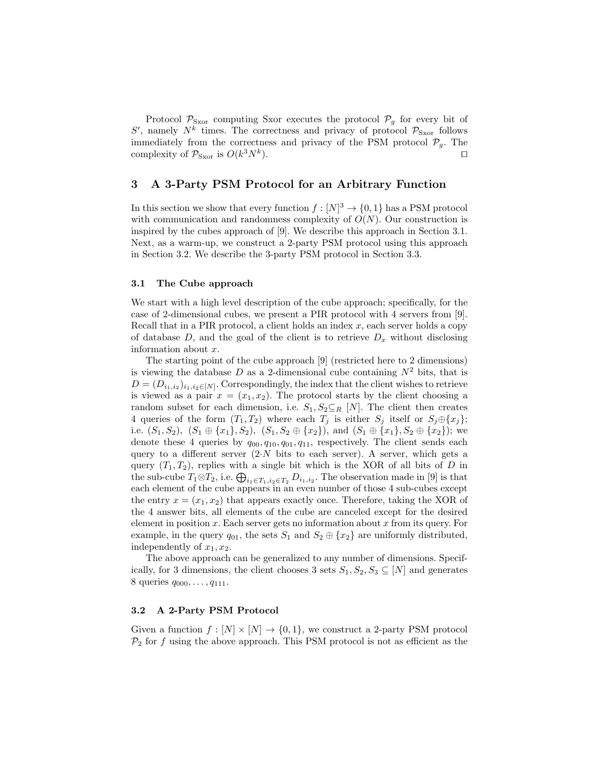Protocol  $P_{\text{Sxor}}$  computing Sxor executes the protocol  $P_g$  for every bit of  $S'$ , namely  $N^k$  times. The correctness and privacy of protocol  $\mathcal{P}_{S\text{xor}}$  follows immediately from the correctness and privacy of the PSM protocol  $\mathcal{P}_g$ . The complexity of  $P_{\text{Sxor}}$  is  $O(k^3 N^k)$ ).  $\qquad \qquad \Box$ 

# 3 A 3-Party PSM Protocol for an Arbitrary Function

In this section we show that every function  $f: [N]^3 \to \{0, 1\}$  has a PSM protocol with communication and randomness complexity of  $O(N)$ . Our construction is inspired by the cubes approach of [9]. We describe this approach in Section 3.1. Next, as a warm-up, we construct a 2-party PSM protocol using this approach in Section 3.2. We describe the 3-party PSM protocol in Section 3.3.

### 3.1 The Cube approach

We start with a high level description of the cube approach; specifically, for the case of 2-dimensional cubes, we present a PIR protocol with 4 servers from [9]. Recall that in a PIR protocol, a client holds an index  $x$ , each server holds a copy of database  $D$ , and the goal of the client is to retrieve  $D_x$  without disclosing information about x.

The starting point of the cube approach [9] (restricted here to 2 dimensions) is viewing the database  $D$  as a 2-dimensional cube containing  $N^2$  bits, that is  $D = (D_{i_1,i_2})_{i_1,i_2 \in [N]}$ . Correspondingly, the index that the client wishes to retrieve is viewed as a pair  $x = (x_1, x_2)$ . The protocol starts by the client choosing a random subset for each dimension, i.e.  $S_1, S_2 \subseteq_R [N]$ . The client then creates 4 queries of the form  $(T_1, T_2)$  where each  $T_j$  is either  $S_j$  itself or  $S_j \oplus \{x_j\};$ i.e.  $(S_1, S_2)$ ,  $(S_1 \oplus \{x_1\}, S_2)$ ,  $(S_1, S_2 \oplus \{x_2\})$ , and  $(S_1 \oplus \{x_1\}, S_2 \oplus \{x_2\})$ ; we denote these 4 queries by  $q_{00}, q_{10}, q_{01}, q_{11}$ , respectively. The client sends each query to a different server  $(2\text{·}N)$  bits to each server). A server, which gets a query  $(T_1, T_2)$ , replies with a single bit which is the XOR of all bits of D in the sub-cube  $T_1 \otimes T_2$ , i.e.  $\bigoplus_{i_1 \in T_1, i_2 \in T_2} D_{i_1, i_2}$ . The observation made in [9] is that each element of the cube appears in an even number of those 4 sub-cubes except the entry  $x = (x_1, x_2)$  that appears exactly once. Therefore, taking the XOR of the 4 answer bits, all elements of the cube are canceled except for the desired element in position  $x$ . Each server gets no information about  $x$  from its query. For example, in the query  $q_{01}$ , the sets  $S_1$  and  $S_2 \oplus \{x_2\}$  are uniformly distributed, independently of  $x_1, x_2$ .

The above approach can be generalized to any number of dimensions. Specifically, for 3 dimensions, the client chooses 3 sets  $S_1, S_2, S_3 \subseteq [N]$  and generates 8 queries  $q_{000}, \ldots, q_{111}$ .

### 3.2 A 2-Party PSM Protocol

Given a function  $f : [N] \times [N] \rightarrow \{0, 1\}$ , we construct a 2-party PSM protocol  $\mathcal{P}_2$  for f using the above approach. This PSM protocol is not as efficient as the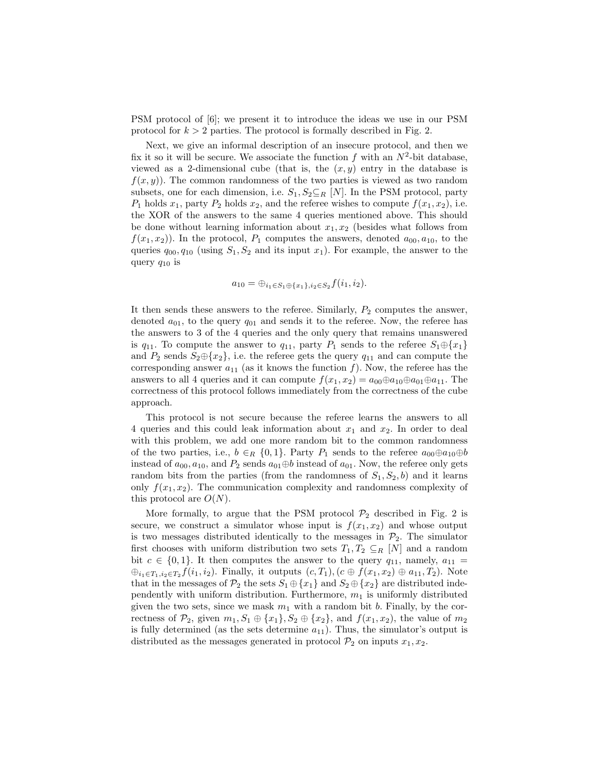PSM protocol of [6]; we present it to introduce the ideas we use in our PSM protocol for  $k > 2$  parties. The protocol is formally described in Fig. 2.

Next, we give an informal description of an insecure protocol, and then we fix it so it will be secure. We associate the function f with an  $N^2$ -bit database, viewed as a 2-dimensional cube (that is, the  $(x, y)$  entry in the database is  $f(x, y)$ . The common randomness of the two parties is viewed as two random subsets, one for each dimension, i.e.  $S_1, S_2 \subseteq_R [N]$ . In the PSM protocol, party  $P_1$  holds  $x_1$ , party  $P_2$  holds  $x_2$ , and the referee wishes to compute  $f(x_1, x_2)$ , i.e. the XOR of the answers to the same 4 queries mentioned above. This should be done without learning information about  $x_1, x_2$  (besides what follows from  $f(x_1, x_2)$ ). In the protocol,  $P_1$  computes the answers, denoted  $a_{00}, a_{10}$ , to the queries  $q_{00}, q_{10}$  (using  $S_1, S_2$  and its input  $x_1$ ). For example, the answer to the query  $q_{10}$  is

$$
a_{10} = \bigoplus_{i_1 \in S_1 \oplus \{x_1\}, i_2 \in S_2} f(i_1, i_2).
$$

It then sends these answers to the referee. Similarly,  $P_2$  computes the answer, denoted  $a_{01}$ , to the query  $q_{01}$  and sends it to the referee. Now, the referee has the answers to 3 of the 4 queries and the only query that remains unanswered is  $q_{11}$ . To compute the answer to  $q_{11}$ , party  $P_1$  sends to the referee  $S_1 \oplus \{x_1\}$ and  $P_2$  sends  $S_2 \oplus \{x_2\}$ , i.e. the referee gets the query  $q_{11}$  and can compute the corresponding answer  $a_{11}$  (as it knows the function f). Now, the referee has the answers to all 4 queries and it can compute  $f(x_1, x_2) = a_{00} \oplus a_{10} \oplus a_{01} \oplus a_{11}$ . The correctness of this protocol follows immediately from the correctness of the cube approach.

This protocol is not secure because the referee learns the answers to all 4 queries and this could leak information about  $x_1$  and  $x_2$ . In order to deal with this problem, we add one more random bit to the common randomness of the two parties, i.e.,  $b \in_R \{0,1\}$ . Party  $P_1$  sends to the referee  $a_{00} \oplus a_{10} \oplus b$ instead of  $a_{00}, a_{10}$ , and  $P_2$  sends  $a_{01} \oplus b$  instead of  $a_{01}$ . Now, the referee only gets random bits from the parties (from the randomness of  $S_1, S_2, b$ ) and it learns only  $f(x_1, x_2)$ . The communication complexity and randomness complexity of this protocol are  $O(N)$ .

More formally, to argue that the PSM protocol  $\mathcal{P}_2$  described in Fig. 2 is secure, we construct a simulator whose input is  $f(x_1, x_2)$  and whose output is two messages distributed identically to the messages in  $\mathcal{P}_2$ . The simulator first chooses with uniform distribution two sets  $T_1, T_2 \subseteq_R [N]$  and a random bit  $c \in \{0,1\}$ . It then computes the answer to the query  $q_{11}$ , namely,  $a_{11} =$  $\oplus_{i_1\in T_1,i_2\in T_2} f(i_1,i_2)$ . Finally, it outputs  $(c,T_1),(c\oplus f(x_1,x_2)\oplus a_{11},T_2)$ . Note that in the messages of  $\mathcal{P}_2$  the sets  $S_1 \oplus \{x_1\}$  and  $S_2 \oplus \{x_2\}$  are distributed independently with uniform distribution. Furthermore,  $m_1$  is uniformly distributed given the two sets, since we mask  $m_1$  with a random bit b. Finally, by the correctness of  $\mathcal{P}_2$ , given  $m_1, S_1 \oplus \{x_1\}, S_2 \oplus \{x_2\}$ , and  $f(x_1, x_2)$ , the value of  $m_2$ is fully determined (as the sets determine  $a_{11}$ ). Thus, the simulator's output is distributed as the messages generated in protocol  $\mathcal{P}_2$  on inputs  $x_1, x_2$ .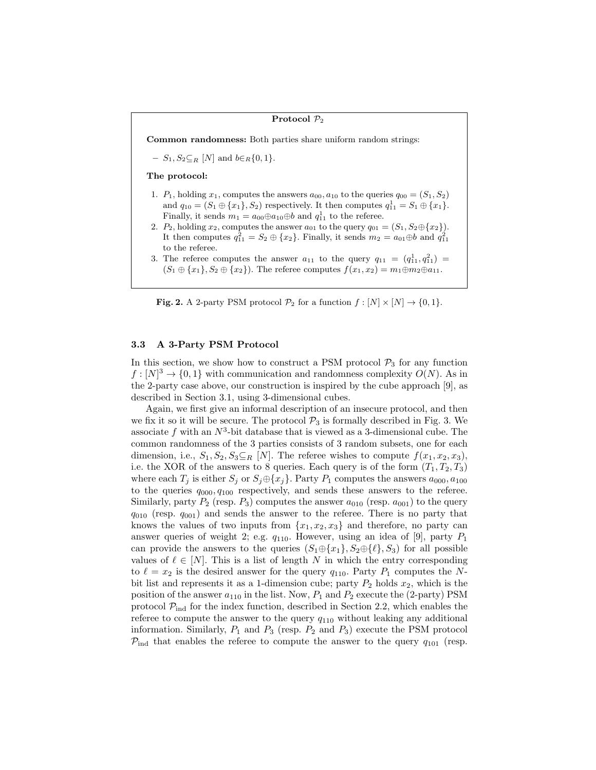### Protocol  $\mathcal{P}_2$

Common randomness: Both parties share uniform random strings:

–  $S_1, S_2 \subseteq_R [N]$  and  $b \in_R \{0, 1\}.$ 

### The protocol:

- 1.  $P_1$ , holding  $x_1$ , computes the answers  $a_{00}$ ,  $a_{10}$  to the queries  $q_{00} = (S_1, S_2)$ and  $q_{10} = (S_1 \oplus \{x_1\}, S_2)$  respectively. It then computes  $q_{11}^1 = S_1 \oplus \{x_1\}.$ Finally, it sends  $m_1 = a_{00} \oplus a_{10} \oplus b$  and  $q_{11}^1$  to the referee.
- 2.  $P_2$ , holding  $x_2$ , computes the answer  $a_{01}$  to the query  $q_{01} = (S_1, S_2 \oplus \{x_2\}).$ It then computes  $q_{11}^2 = S_2 \oplus \{x_2\}$ . Finally, it sends  $m_2 = a_{01} \oplus b$  and  $q_{11}^2$ to the referee.
- 3. The referee computes the answer  $a_{11}$  to the query  $q_{11} = (q_{11}^1, q_{11}^2) =$  $(S_1 \oplus \{x_1\}, S_2 \oplus \{x_2\})$ . The referee computes  $f(x_1, x_2) = m_1 \oplus m_2 \oplus a_{11}$ .

**Fig. 2.** A 2-party PSM protocol  $\mathcal{P}_2$  for a function  $f : [N] \times [N] \rightarrow \{0, 1\}.$ 

### 3.3 A 3-Party PSM Protocol

In this section, we show how to construct a PSM protocol  $P_3$  for any function  $f: [N]^3 \to \{0,1\}$  with communication and randomness complexity  $O(N)$ . As in the 2-party case above, our construction is inspired by the cube approach [9], as described in Section 3.1, using 3-dimensional cubes.

Again, we first give an informal description of an insecure protocol, and then we fix it so it will be secure. The protocol  $\mathcal{P}_3$  is formally described in Fig. 3. We associate f with an  $N^3$ -bit database that is viewed as a 3-dimensional cube. The common randomness of the 3 parties consists of 3 random subsets, one for each dimension, i.e.,  $S_1, S_2, S_3 \subseteq_R [N]$ . The referee wishes to compute  $f(x_1, x_2, x_3)$ , i.e. the XOR of the answers to 8 queries. Each query is of the form  $(T_1, T_2, T_3)$ where each  $T_j$  is either  $S_j$  or  $S_j \oplus \{x_j\}$ . Party  $P_1$  computes the answers  $a_{000}, a_{100}$ to the queries  $q_{000}, q_{100}$  respectively, and sends these answers to the referee. Similarly, party  $P_2$  (resp.  $P_3$ ) computes the answer  $a_{010}$  (resp.  $a_{001}$ ) to the query  $q_{010}$  (resp.  $q_{001}$ ) and sends the answer to the referee. There is no party that knows the values of two inputs from  $\{x_1, x_2, x_3\}$  and therefore, no party can answer queries of weight 2; e.g.  $q_{110}$ . However, using an idea of [9], party  $P_1$ can provide the answers to the queries  $(S_1 \oplus \{x_1\}, S_2 \oplus \{\ell\}, S_3)$  for all possible values of  $\ell \in [N]$ . This is a list of length N in which the entry corresponding to  $\ell = x_2$  is the desired answer for the query  $q_{110}$ . Party  $P_1$  computes the Nbit list and represents it as a 1-dimension cube; party  $P_2$  holds  $x_2$ , which is the position of the answer  $a_{110}$  in the list. Now,  $P_1$  and  $P_2$  execute the (2-party) PSM protocol  $\mathcal{P}_{ind}$  for the index function, described in Section 2.2, which enables the referee to compute the answer to the query  $q_{110}$  without leaking any additional information. Similarly,  $P_1$  and  $P_3$  (resp.  $P_2$  and  $P_3$ ) execute the PSM protocol  $P_{\text{ind}}$  that enables the referee to compute the answer to the query  $q_{101}$  (resp.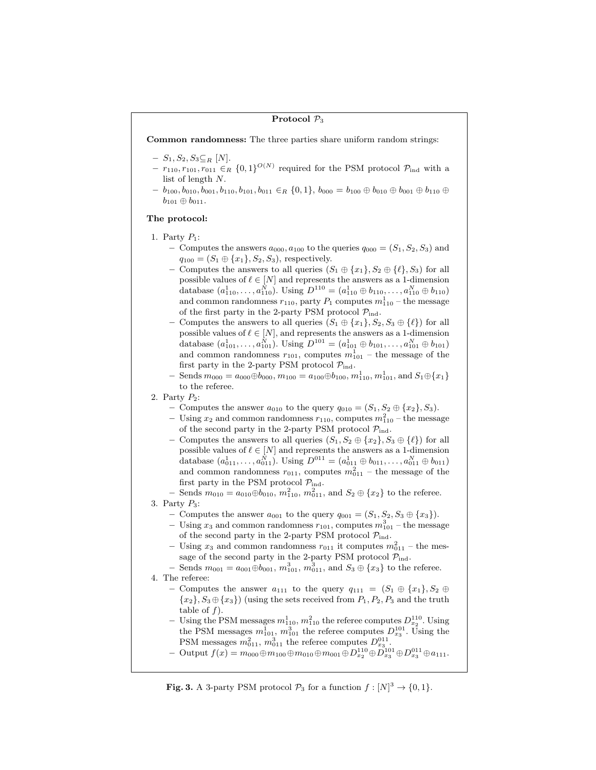### Protocol  $\mathcal{P}_3$

Common randomness: The three parties share uniform random strings:

- $S_1, S_2, S_3 \subseteq_R [N].$
- $-r_{110}, r_{101}, r_{011} \in_R \{0,1\}^{O(N)}$  required for the PSM protocol  $\mathcal{P}_{ind}$  with a list of length N.
- $b_{100}, b_{010}, b_{001}, b_{110}, b_{101}, b_{011} \in_R \{0, 1\}, b_{000} = b_{100} \oplus b_{010} \oplus b_{001} \oplus b_{110} \oplus b_{110}$  $b_{101} \oplus b_{011}.$

### The protocol:

- 1. Party  $P_1$ :
	- Computes the answers  $a_{000}$ ,  $a_{100}$  to the queries  $q_{000} = (S_1, S_2, S_3)$  and  $q_{100} = (S_1 \oplus \{x_1\}, S_2, S_3)$ , respectively.
	- Computes the answers to all queries  $(S_1 \oplus \{x_1\}, S_2 \oplus \{\ell\}, S_3)$  for all possible values of  $\ell \in [N]$  and represents the answers as a 1-dimension database  $(a_{110}^1, \ldots, a_{110}^N)$ . Using  $D^{110} = (a_{110}^1 \oplus b_{110}, \ldots, a_{110}^N \oplus b_{110})$ and common randomness  $r_{110}$ , party  $P_1$  computes  $m_{110}^1$  – the message of the first party in the 2-party PSM protocol  $\mathcal{P}_{ind}$ .
	- Computes the answers to all queries  $(S_1 \oplus \{x_1\}, S_2, S_3 \oplus \{\ell\})$  for all possible values of  $\ell \in [N]$ , and represents the answers as a 1-dimension database  $(a_{101}^1, \ldots, a_{101}^N)$ . Using  $D^{101} = (a_{101}^1 \oplus b_{101}, \ldots, a_{101}^N \oplus b_{101})$ and common randomness  $r_{101}$ , computes  $m_{101}^1$  – the message of the first party in the 2-party PSM protocol  $\mathcal{P}_{\text{ind}}$ .
	- $-$  Sends  $m_{000} = a_{000} \oplus b_{000}, m_{100} = a_{100} \oplus b_{100}, m_{110}^1, m_{101}^1$ , and  $S_1 \oplus \{x_1\}$ to the referee.
- 2. Party  $P_2$ :
	- Computes the answer  $a_{010}$  to the query  $q_{010} = (S_1, S_2 \oplus \{x_2\}, S_3)$ .
	- Using  $x_2$  and common randomness  $r_{110}$ , computes  $m_{110}^2$  the message of the second party in the 2-party PSM protocol  $\mathcal{P}_{ind}$ .
	- Computes the answers to all queries  $(S_1, S_2 \oplus \{x_2\}, S_3 \oplus \{\ell\})$  for all possible values of  $\ell \in [N]$  and represents the answers as a 1-dimension database  $(a_{011}^1, \ldots, a_{011}^N)$ . Using  $D^{011} = (a_{011}^1 \oplus b_{011}, \ldots, a_{011}^N \oplus b_{011})$ and common randomness  $r_{011}$ , computes  $m_{011}^2$  – the message of the first party in the PSM protocol  $P_{ind}$ .
	- − Sends  $m_{010} = a_{010} \oplus b_{010}, m_{110}^2, m_{011}^2$ , and  $S_2 \oplus \{x_2\}$  to the referee.

3. Party  $P_3$ :

- Computes the answer  $a_{001}$  to the query  $q_{001} = (S_1, S_2, S_3 \oplus \{x_3\}).$
- Using  $x_3$  and common randomness  $r_{101}$ , computes  $m_{101}^3$  the message of the second party in the 2-party PSM protocol  $\mathcal{P}_{ind}$ .
- Using  $x_3$  and common randomness  $r_{011}$  it computes  $m_{011}^2$  the message of the second party in the 2-party PSM protocol  $\mathcal{P}_{\rm ind}.$
- $-$  Sends  $m_{001} = a_{001} \oplus b_{001}, m_{101}^3, m_{011}^3$ , and  $S_3 \oplus \{x_3\}$  to the referee.
- 4. The referee:
	- Computes the answer  $a_{111}$  to the query  $q_{111} = (S_1 \oplus \{x_1\}, S_2 \oplus \{x_2\})$  ${x<sub>2</sub>}, S<sub>3</sub> \oplus {x<sub>3</sub>})$  (using the sets received from  $P<sub>1</sub>, P<sub>2</sub>, P<sub>3</sub>$  and the truth table of  $f$ ).
	- Using the PSM messages  $m_{110}^1, m_{110}^2$  the referee computes  $D_{x_2}^{110}$ . Using Using the PSM messages  $m_{110}$ ,  $m_{110}$  the referee computes  $D_{x_2}$ . Using the PSM messages  $m_{101}^1$ ,  $m_{101}^3$  the referee computes  $D_{x_3}^{101}$ . Using the PSM messages  $m_{011}^2$ ,  $m_{011}^3$  the referee computes  $D_{x_3}^{011}$ .
	- $-$  Output  $f(x) = m_{000} \oplus m_{100} \oplus m_{010} \oplus m_{001} \oplus D_{x_2}^{110} \oplus D_{x_3}^{101} \oplus D_{x_3}^{011} \oplus a_{111}.$

**Fig. 3.** A 3-party PSM protocol  $\mathcal{P}_3$  for a function  $f: [N]^3 \to \{0, 1\}.$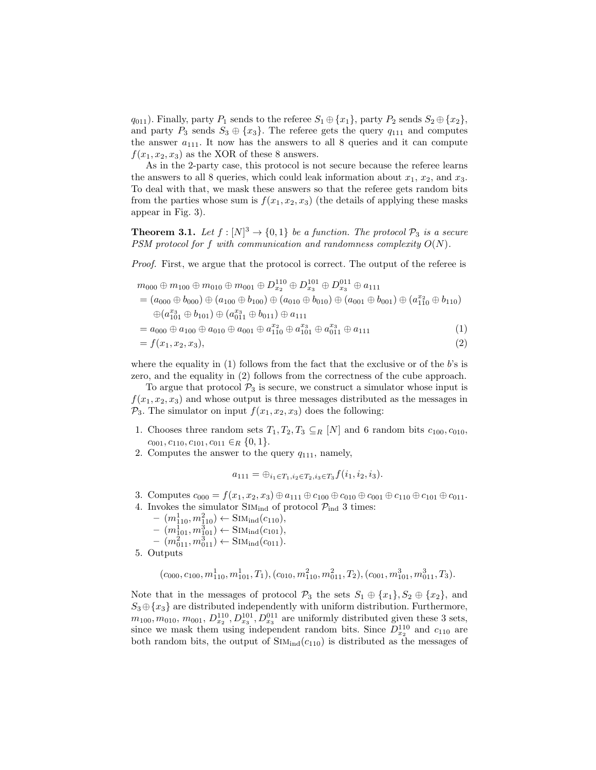$q_{011}$ ). Finally, party  $P_1$  sends to the referee  $S_1 \oplus \{x_1\}$ , party  $P_2$  sends  $S_2 \oplus \{x_2\}$ , and party  $P_3$  sends  $S_3 \oplus \{x_3\}$ . The referee gets the query  $q_{111}$  and computes the answer  $a_{111}$ . It now has the answers to all 8 queries and it can compute  $f(x_1, x_2, x_3)$  as the XOR of these 8 answers.

As in the 2-party case, this protocol is not secure because the referee learns the answers to all 8 queries, which could leak information about  $x_1, x_2$ , and  $x_3$ . To deal with that, we mask these answers so that the referee gets random bits from the parties whose sum is  $f(x_1, x_2, x_3)$  (the details of applying these masks appear in Fig. 3).

**Theorem 3.1.** Let  $f : [N]^3 \to \{0,1\}$  be a function. The protocol  $\mathcal{P}_3$  is a secure PSM protocol for f with communication and randomness complexity  $O(N)$ .

Proof. First, we argue that the protocol is correct. The output of the referee is

$$
m_{000} \oplus m_{100} \oplus m_{001} \oplus m_{001} \oplus D_{x_2}^{110} \oplus D_{x_3}^{101} \oplus D_{x_3}^{011} \oplus a_{111}
$$
  
=  $(a_{000} \oplus b_{000}) \oplus (a_{100} \oplus b_{100}) \oplus (a_{010} \oplus b_{010}) \oplus (a_{001} \oplus b_{001}) \oplus (a_{110}^{x_2} \oplus b_{110})$   
 $\oplus (a_{101}^{x_3} \oplus b_{101}) \oplus (a_{011}^{x_3} \oplus b_{011}) \oplus a_{111}$   
=  $a_{000} \oplus a_{100} \oplus a_{010} \oplus a_{001} \oplus a_{110}^{x_2} \oplus a_{101}^{x_3} \oplus a_{101}^{x_3} \oplus a_{111}^{x_3}$  (1)  
=  $f(x_1, x_2, x_3)$ , (2)

where the equality in  $(1)$  follows from the fact that the exclusive or of the b's is zero, and the equality in (2) follows from the correctness of the cube approach.

To argue that protocol  $\mathcal{P}_3$  is secure, we construct a simulator whose input is  $f(x_1, x_2, x_3)$  and whose output is three messages distributed as the messages in  $\mathcal{P}_3$ . The simulator on input  $f(x_1, x_2, x_3)$  does the following:

- 1. Chooses three random sets  $T_1, T_2, T_3 \subseteq_R [N]$  and 6 random bits  $c_{100}, c_{010}$ ,  $c_{001}, c_{110}, c_{101}, c_{011} \in_R \{0,1\}.$
- 2. Computes the answer to the query  $q_{111}$ , namely,

$$
a_{111} = \bigoplus_{i_1 \in T_1, i_2 \in T_2, i_3 \in T_3} f(i_1, i_2, i_3).
$$

- 3. Computes  $c_{000} = f(x_1, x_2, x_3) \oplus a_{111} \oplus c_{100} \oplus c_{010} \oplus c_{001} \oplus c_{110} \oplus c_{101} \oplus c_{011}$ .
- 4. Invokes the simulator  $\text{SIM}_{\text{ind}}$  of protocol  $\mathcal{P}_{\text{ind}}$  3 times:
	- $(m_{110}^1, m_{110}^2) \leftarrow \text{SIM}_{\text{ind}}(c_{110}),$
	- $(m_{101}^1, m_{101}^3) \leftarrow \text{SIM}_{\text{ind}}(c_{101}),$
	- $(m_{011}^2, m_{011}^3) \leftarrow \text{SIM}_{\text{ind}}(c_{011}).$
- 5. Outputs

$$
(c_{000}, c_{100}, m_{110}^1, m_{101}^1, T_1), (c_{010}, m_{110}^2, m_{011}^2, T_2), (c_{001}, m_{101}^3, m_{011}^3, T_3).
$$

Note that in the messages of protocol  $\mathcal{P}_3$  the sets  $S_1 \oplus \{x_1\}, S_2 \oplus \{x_2\}$ , and  $S_3 \oplus \{x_3\}$  are distributed independently with uniform distribution. Furthermore,  $m_{100}, m_{010}, m_{001}, D_{x_2}^{110}, D_{x_3}^{101}, D_{x_3}^{011}$  are uniformly distributed given these 3 sets, since we mask them using independent random bits. Since  $D_{x_2}^{110}$  and  $c_{110}$  are both random bits, the output of  $SIM_{ind}(c_{110})$  is distributed as the messages of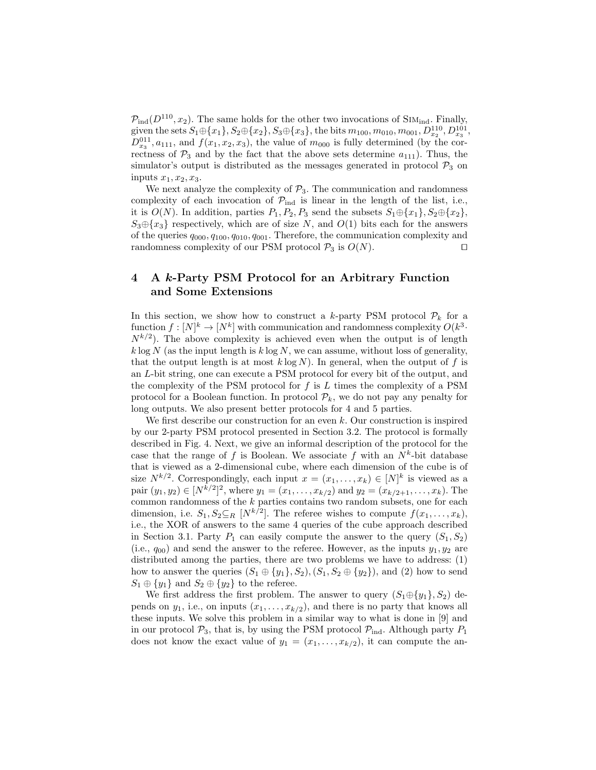$\mathcal{P}_{\text{ind}}(D^{110}, x_2)$ . The same holds for the other two invocations of SIM<sub>ind</sub>. Finally, given the sets  $S_1 \oplus \{x_1\}, S_2 \oplus \{x_2\}, S_3 \oplus \{x_3\},$  the bits  $m_{100}, m_{010}, m_{001}, D^{110}_{x_2}, D^{101}_{x_3}$ ,  $D_{x_3}^{011}, a_{111}$ , and  $f(x_1, x_2, x_3)$ , the value of  $m_{000}$  is fully determined (by the correctness of  $P_3$  and by the fact that the above sets determine  $a_{111}$ ). Thus, the simulator's output is distributed as the messages generated in protocol  $\mathcal{P}_3$  on inputs  $x_1, x_2, x_3$ .

We next analyze the complexity of  $P_3$ . The communication and randomness complexity of each invocation of  $\mathcal{P}_{ind}$  is linear in the length of the list, i.e., it is  $O(N)$ . In addition, parties  $P_1, P_2, P_3$  send the subsets  $S_1 \oplus \{x_1\}, S_2 \oplus \{x_2\},$  $S_3\oplus\{x_3\}$  respectively, which are of size N, and  $O(1)$  bits each for the answers of the queries  $q_{000}, q_{100}, q_{010}, q_{001}$ . Therefore, the communication complexity and randomness complexity of our PSM protocol  $\mathcal{P}_3$  is  $O(N)$ .

# 4 A k-Party PSM Protocol for an Arbitrary Function and Some Extensions

In this section, we show how to construct a k-party PSM protocol  $\mathcal{P}_k$  for a function  $f: [N]^k \to [N^k]$  with communication and randomness complexity  $O(k^3 \cdot$  $N^{k/2}$ ). The above complexity is achieved even when the output is of length  $k \log N$  (as the input length is  $k \log N$ , we can assume, without loss of generality, that the output length is at most  $k \log N$ ). In general, when the output of f is an L-bit string, one can execute a PSM protocol for every bit of the output, and the complexity of the PSM protocol for  $f$  is  $L$  times the complexity of a PSM protocol for a Boolean function. In protocol  $\mathcal{P}_k$ , we do not pay any penalty for long outputs. We also present better protocols for 4 and 5 parties.

We first describe our construction for an even  $k$ . Our construction is inspired by our 2-party PSM protocol presented in Section 3.2. The protocol is formally described in Fig. 4. Next, we give an informal description of the protocol for the case that the range of f is Boolean. We associate f with an  $N^k$ -bit database that is viewed as a 2-dimensional cube, where each dimension of the cube is of size  $N^{k/2}$ . Correspondingly, each input  $x = (x_1, \ldots, x_k) \in [N]^k$  is viewed as a pair  $(y_1, y_2) \in [N^{k/2}]^2$ , where  $y_1 = (x_1, \ldots, x_{k/2})$  and  $y_2 = (x_{k/2+1}, \ldots, x_k)$ . The common randomness of the  $k$  parties contains two random subsets, one for each dimension, i.e.  $S_1, S_2 \subseteq_R [N^{k/2}]$ . The referee wishes to compute  $f(x_1, \ldots, x_k)$ , i.e., the XOR of answers to the same 4 queries of the cube approach described in Section 3.1. Party  $P_1$  can easily compute the answer to the query  $(S_1, S_2)$ (i.e.,  $q_{00}$ ) and send the answer to the referee. However, as the inputs  $y_1, y_2$  are distributed among the parties, there are two problems we have to address: (1) how to answer the queries  $(S_1 \oplus \{y_1\}, S_2), (S_1, S_2 \oplus \{y_2\}),$  and (2) how to send  $S_1 \oplus \{y_1\}$  and  $S_2 \oplus \{y_2\}$  to the referee.

We first address the first problem. The answer to query  $(S_1 \oplus \{y_1\}, S_2)$  depends on  $y_1$ , i.e., on inputs  $(x_1, \ldots, x_{k/2})$ , and there is no party that knows all these inputs. We solve this problem in a similar way to what is done in [9] and in our protocol  $\mathcal{P}_3$ , that is, by using the PSM protocol  $\mathcal{P}_{ind}$ . Although party  $P_1$ does not know the exact value of  $y_1 = (x_1, \ldots, x_{k/2})$ , it can compute the an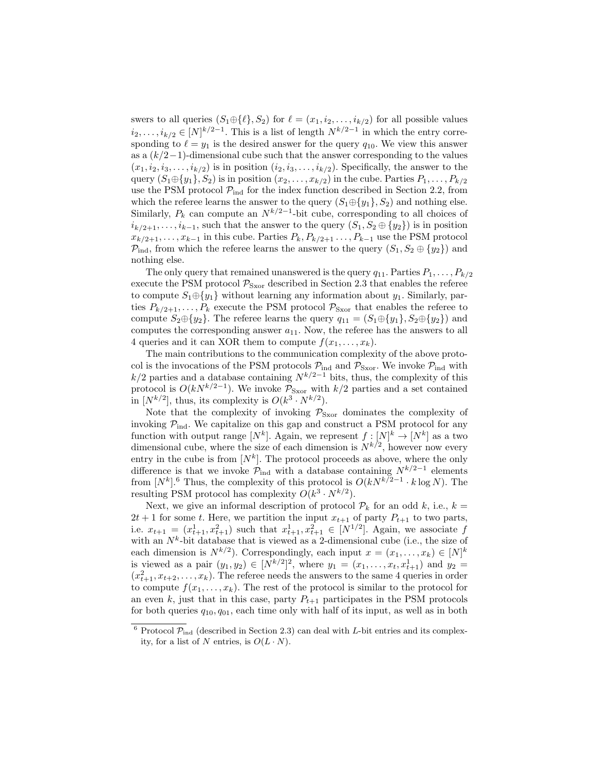swers to all queries  $(S_1 \oplus \{\ell\}, S_2)$  for  $\ell = (x_1, i_2, \ldots, i_{k/2})$  for all possible values  $i_2, \ldots, i_{k/2} \in [N]^{k/2-1}$ . This is a list of length  $N^{k/2-1}$  in which the entry corresponding to  $\ell = y_1$  is the desired answer for the query  $q_{10}$ . We view this answer as a  $(k/2-1)$ -dimensional cube such that the answer corresponding to the values  $(x_1, i_2, i_3, \ldots, i_{k/2})$  is in position  $(i_2, i_3, \ldots, i_{k/2})$ . Specifically, the answer to the query  $(S_1 \oplus \{y_1\}, S_2)$  is in position  $(x_2, \ldots, x_{k/2})$  in the cube. Parties  $P_1, \ldots, P_{k/2}$ use the PSM protocol  $\mathcal{P}_{ind}$  for the index function described in Section 2.2, from which the referee learns the answer to the query  $(S_1 \oplus \{y_1\}, S_2)$  and nothing else. Similarly,  $P_k$  can compute an  $N^{k/2-1}$ -bit cube, corresponding to all choices of  $i_{k/2+1}, \ldots, i_{k-1}$ , such that the answer to the query  $(S_1, S_2 \oplus \{y_2\})$  is in position  $x_{k/2+1}, \ldots, x_{k-1}$  in this cube. Parties  $P_k, P_{k/2+1}, \ldots, P_{k-1}$  use the PSM protocol  $\mathcal{P}_{\text{ind}}$ , from which the referee learns the answer to the query  $(S_1, S_2 \oplus \{y_2\})$  and nothing else.

The only query that remained unanswered is the query  $q_{11}$ . Parties  $P_1, \ldots, P_{k/2}$ execute the PSM protocol  $P_{S\text{xor}}$  described in Section 2.3 that enables the referee to compute  $S_1 \oplus \{y_1\}$  without learning any information about  $y_1$ . Similarly, parties  $P_{k/2+1}, \ldots, P_k$  execute the PSM protocol  $\mathcal{P}_{S\text{xor}}$  that enables the referee to compute  $S_2 \oplus \{y_2\}$ . The referee learns the query  $q_{11} = (S_1 \oplus \{y_1\}, S_2 \oplus \{y_2\})$  and computes the corresponding answer  $a_{11}$ . Now, the referee has the answers to all 4 queries and it can XOR them to compute  $f(x_1, \ldots, x_k)$ .

The main contributions to the communication complexity of the above protocol is the invocations of the PSM protocols  $\mathcal{P}_{ind}$  and  $\mathcal{P}_{Sxor}$ . We invoke  $\mathcal{P}_{ind}$  with  $k/2$  parties and a database containing  $N^{k/2-1}$  bits, thus, the complexity of this protocol is  $O(kN^{k/2-1})$ . We invoke  $\mathcal{P}_{S\text{xor}}$  with  $k/2$  parties and a set contained in  $[N^{k/2}]$ , thus, its complexity is  $O(k^3 \cdot N^{k/2})$ .

Note that the complexity of invoking  $P_{S\text{xor}}$  dominates the complexity of invoking  $P_{\text{ind}}$ . We capitalize on this gap and construct a PSM protocol for any function with output range  $[N^k]$ . Again, we represent  $f: [N]^k \to [N^k]$  as a two dimensional cube, where the size of each dimension is  $N^{k/2}$ , however now every entry in the cube is from  $[N^k]$ . The protocol proceeds as above, where the only difference is that we invoke  $\mathcal{P}_{\text{ind}}$  with a database containing  $N^{k/2-1}$  elements from  $[N^k]$ <sup>6</sup> Thus, the complexity of this protocol is  $O(kN^{k/2-1} \cdot k \log N)$ . The resulting PSM protocol has complexity  $O(k^3 \cdot N^{k/2})$ .

Next, we give an informal description of protocol  $\mathcal{P}_k$  for an odd k, i.e.,  $k =$  $2t + 1$  for some t. Here, we partition the input  $x_{t+1}$  of party  $P_{t+1}$  to two parts, i.e.  $x_{t+1} = (x_{t+1}^1, x_{t+1}^2)$  such that  $x_{t+1}^1, x_{t+1}^2 \in [N^{1/2}]$ . Again, we associate f with an  $N^k$ -bit database that is viewed as a 2-dimensional cube (i.e., the size of each dimension is  $N^{k/2}$ ). Correspondingly, each input  $x = (x_1, \ldots, x_k) \in [N]^k$ is viewed as a pair  $(y_1, y_2) \in [N^{k/2}]^2$ , where  $y_1 = (x_1, \ldots, x_t, x_{t+1}^1)$  and  $y_2 =$  $(x_{t+1}^2, x_{t+2}, \ldots, x_k)$ . The referee needs the answers to the same 4 queries in order to compute  $f(x_1, \ldots, x_k)$ . The rest of the protocol is similar to the protocol for an even k, just that in this case, party  $P_{t+1}$  participates in the PSM protocols for both queries  $q_{10}, q_{01}$ , each time only with half of its input, as well as in both

<sup>&</sup>lt;sup>6</sup> Protocol  $\mathcal{P}_{ind}$  (described in Section 2.3) can deal with *L*-bit entries and its complexity, for a list of N entries, is  $O(L \cdot N)$ .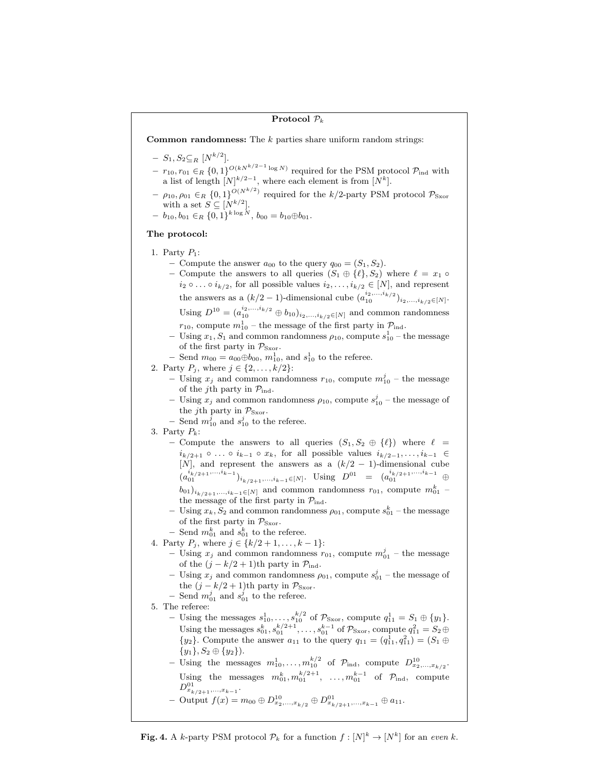### Protocol  $P_k$

**Common randomness:** The  $k$  parties share uniform random strings:

- $S_1, S_2 \subseteq_R [N^{k/2}].$
- $-r_{10}, r_{01} \in_R \{0,1\}^{O(kN^{k/2-1}\log N)}$  required for the PSM protocol  $\mathcal{P}_{ind}$  with a list of length  $[N]^{k/2-1}$ , where each element is from  $[N^k]$ .
- $\rho_{10}, \rho_{01} \in_R \{0,1\}^{O(N^{k/2})}$  required for the  $k/2$ -party PSM protocol  $\mathcal{P}_{S\text{xor}}$ with a set  $S \subseteq [N^{k/2}]$ .
- $b_{10}, b_{01} \in R \{0,1\}^{k \log N}, b_{00} = b_{10} \oplus b_{01}.$

# The protocol:

- 1. Party  $P_1$ :
	- Compute the answer  $a_{00}$  to the query  $q_{00} = (S_1, S_2)$ .
	- Compute the answers to all queries  $(S_1 \oplus {\ell}, S_2)$  where  $\ell = x_1 \circ$  $i_2 \circ \ldots \circ i_{k/2}$ , for all possible values  $i_2, \ldots, i_{k/2} \in [N]$ , and represent the answers as a  $(k/2 - 1)$ -dimensional cube  $(a_{10}^{i_2,...,i_{k/2}})_{i_2,...,i_{k/2} \in [N]}$ . Using  $D^{10} = (a_{10}^{i_2,...,i_{k/2}} \oplus b_{10})_{i_2,...,i_{k/2} \in [N]}$  and common randomness
		- $r_{10}$ , compute  $m_{10}^1$  the message of the first party in  $\mathcal{P}_{\text{ind}}$ .
	- Using  $x_1, S_1$  and common randomness  $\rho_{10}$ , compute  $s_{10}^1$  the message of the first party in  $\mathcal{P}_{S\text{xor}}$ .
	- − Send  $m_{00} = a_{00} \oplus b_{00}, m_{10}^1$ , and  $s_{10}^1$  to the referee.
- 2. Party  $P_j$ , where  $j \in \{2, ..., k/2\}$ :
	- Using  $x_j$  and common randomness  $r_{10}$ , compute  $m_{10}^j$  the message of the j<sup>th</sup> party in  $\mathcal{P}_{\text{ind}}$ .
	- Using  $x_j$  and common randomness  $\rho_{10}$ , compute  $s_{10}^j$  the message of the j<sup>th</sup> party in  $P_{S \text{xor}}$ .
	- Send  $m_{10}^j$  and  $s_{10}^j$  to the referee.
- 3. Party  $P_k$ :
	- Compute the answers to all queries  $(S_1, S_2 \oplus {\ell})$  where  $\ell =$  $i_{k/2+1} \circ \ldots \circ i_{k-1} \circ x_k$ , for all possible values  $i_{k/2-1}, \ldots, i_{k-1} \in$ [N], and represent the answers as a  $(k/2 - 1)$ -dimensional cube  $(a_{01}^{i_{k/2+1},...,i_{k-1}})_{i_{k/2+1},...,i_{k-1}\in[N]}$ . Using  $D^{01} = (a_{01}^{i_{k/2+1},...,i_{k-1}} \oplus$  $b_{01})_{i_{k/2+1},...,i_{k-1}\in[N]}$  and common randomness  $r_{01}$ , compute  $m_{01}^k$  the message of the first party in  $\mathcal{P}_{\rm ind}$ .
	- Using  $x_k$ ,  $S_2$  and common randomness  $\rho_{01}$ , compute  $s_{01}^k$  the message of the first party in  $\mathcal{P}_{\text{Sxor}}.$
	- Send  $m_{01}^k$  and  $s_{01}^k$  to the referee.
- 4. Party  $P_j$ , where  $j \in \{k/2 + 1, \ldots, k 1\}$ :
	- Using  $x_j$  and common randomness  $r_{01}$ , compute  $m_{01}^j$  the message of the  $(j - k/2 + 1)$ th party in  $\mathcal{P}_{ind}$ .
	- Using  $x_j$  and common randomness  $\rho_{01}$ , compute  $s_{01}^j$  the message of the  $(j - k/2 + 1)$ th party in  $\mathcal{P}_{\text{Sxor}}$ .
	- Send  $m_{01}^j$  and  $s_{01}^j$  to the referee.
- 5. The referee: - Using the messages  $s_{10}^1, \ldots, s_{10}^{k/2}$  of  $\mathcal{P}_{S\text{xor}}$ , compute  $q_{11}^1 = S_1 \oplus \{y_1\}.$ Using the messages  $s_{01}^k, s_{01}^{k/2+1}, \ldots, s_{01}^{k-1}$  of  $\mathcal{P}_{\text{Sxor}}$ , compute  $q_{11}^2 = S_2 \oplus$  ${y_2}$ . Compute the answer  $a_{11}$  to the query  $q_{11} = (q_{11}^1, q_{11}^2) = (S_1 \oplus S_1)$  ${y_1}, S_2 \oplus {y_2}.$ 
	- Using the messages  $m_{10}^1, \ldots, m_{10}^{k/2}$  of  $\mathcal{P}_{\text{ind}}$ , compute  $D_{x_2,\ldots,x_{k/2}}^{10}$ . Using the messages  $m_{01}^k, m_{01}^{k/2+1}, \ldots, m_{01}^{k-1}$  of  $\mathcal{P}_{\text{ind}}$ , compute  $D^{01}_{x_{k/2+1},...,x_{k-1}}.$
	- $-$  Output  $f(x) = m_{00} \oplus D_{x_2,...,x_{k/2}}^{10} \oplus D_{x_{k/2+1},...,x_{k-1}}^{01} \oplus a_{11}.$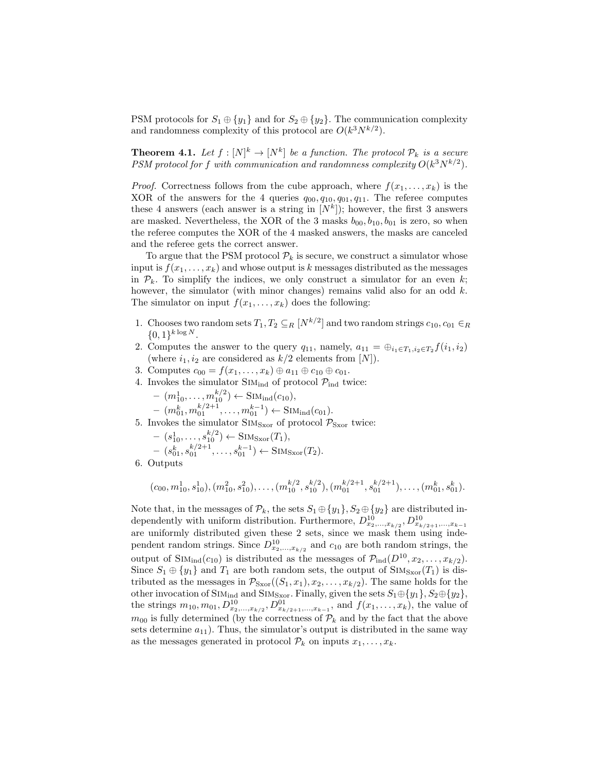PSM protocols for  $S_1 \oplus \{y_1\}$  and for  $S_2 \oplus \{y_2\}$ . The communication complexity and randomness complexity of this protocol are  $O(k^3 N^{k/2})$ .

**Theorem 4.1.** Let  $f : [N]^k \to [N^k]$  be a function. The protocol  $\mathcal{P}_k$  is a secure PSM protocol for f with communication and randomness complexity  $O(k^3 N^{k/2})$ .

*Proof.* Correctness follows from the cube approach, where  $f(x_1, \ldots, x_k)$  is the XOR of the answers for the 4 queries  $q_{00}, q_{10}, q_{01}, q_{11}$ . The referee computes these 4 answers (each answer is a string in  $[N^k]$ ); however, the first 3 answers are masked. Nevertheless, the XOR of the 3 masks  $b_{00}$ ,  $b_{10}$ ,  $b_{01}$  is zero, so when the referee computes the XOR of the 4 masked answers, the masks are canceled and the referee gets the correct answer.

To argue that the PSM protocol  $\mathcal{P}_k$  is secure, we construct a simulator whose input is  $f(x_1, \ldots, x_k)$  and whose output is k messages distributed as the messages in  $\mathcal{P}_k$ . To simplify the indices, we only construct a simulator for an even k; however, the simulator (with minor changes) remains valid also for an odd  $k$ . The simulator on input  $f(x_1, \ldots, x_k)$  does the following:

1. Chooses two random sets  $T_1, T_2 \subseteq_R [N^{k/2}]$  and two random strings  $c_{10}, c_{01} \in_R$  $\{0,1\}^{k \log N}$ .

2. Computes the answer to the query  $q_{11}$ , namely,  $a_{11} = \bigoplus_{i_1 \in T_1, i_2 \in T_2} f(i_1, i_2)$ (where  $i_1, i_2$  are considered as  $k/2$  elements from [N]).

- 3. Computes  $c_{00} = f(x_1, ..., x_k) \oplus a_{11} \oplus c_{10} \oplus c_{01}$ .
- 4. Invokes the simulator  $\text{SIM}_{\text{ind}}$  of protocol  $\mathcal{P}_{\text{ind}}$  twice:
	- $(m_{10}^1, \ldots, m_{10}^{k/2}) \leftarrow \text{SIM}_{\text{ind}}(c_{10}),$

$$
- (m_{01}^k, m_{01}^{k/2+1}, \ldots, m_{01}^{k-1}) \leftarrow \text{SIM}_{\text{ind}}(c_{01}).
$$

- 5. Invokes the simulator  $\text{SIM}_{\text{Sxor}}$  of protocol  $\mathcal{P}_{\text{Sxor}}$  twice:
	- $(s_{10}^1, \ldots, s_{10}^{k/2}) \leftarrow \text{SIM}_{\text{Sxor}}(T_1),$

$$
- (s_{01}^k, s_{01}^{k/2+1}, \dots, s_{01}^{k-1}) \leftarrow \text{SIM}_{\text{Sxor}}(T_2).
$$
6. Outputs

$$
(c_{00}, m_{10}^1, s_{10}^1), (m_{10}^2, s_{10}^2), \ldots, (m_{10}^{k/2}, s_{10}^{k/2}), (m_{01}^{k/2+1}, s_{01}^{k/2+1}), \ldots, (m_{01}^k, s_{01}^k).
$$

Note that, in the messages of  $\mathcal{P}_k$ , the sets  $S_1 \oplus \{y_1\}$ ,  $S_2 \oplus \{y_2\}$  are distributed independently with uniform distribution. Furthermore,  $D^{10}_{x_2,...,x_{k/2}}$ ,  $D^{10}_{x_{k/2+1},...,x_{k-1}}$ are uniformly distributed given these 2 sets, since we mask them using independent random strings. Since  $D_{x_2,...,x_{k/2}}^{10}$  and  $c_{10}$  are both random strings, the output of  $\text{SIM}_{\text{ind}}(c_{10})$  is distributed as the messages of  $\mathcal{P}_{\text{ind}}(D^{10}, x_2, \ldots, x_{k/2})$ . Since  $S_1 \oplus \{y_1\}$  and  $T_1$  are both random sets, the output of  $\text{SIM}_{S\text{xor}}(T_1)$  is distributed as the messages in  $\mathcal{P}_{\text{Sxor}}((S_1, x_1), x_2, \ldots, x_{k/2})$ . The same holds for the other invocation of SIM<sub>ind</sub> and SIM<sub>Sxor</sub>. Finally, given the sets  $S_1 \oplus \{y_1\}$ ,  $S_2 \oplus \{y_2\}$ , the strings  $m_{10}, m_{01}, D^{10}_{x_2,...,x_{k/2}}, D^{01}_{x_{k/2+1},...,x_{k-1}}$ , and  $f(x_1,...,x_k)$ , the value of  $m_{00}$  is fully determined (by the correctness of  $\mathcal{P}_k$  and by the fact that the above sets determine  $a_{11}$ ). Thus, the simulator's output is distributed in the same way as the messages generated in protocol  $\mathcal{P}_k$  on inputs  $x_1, \ldots, x_k$ .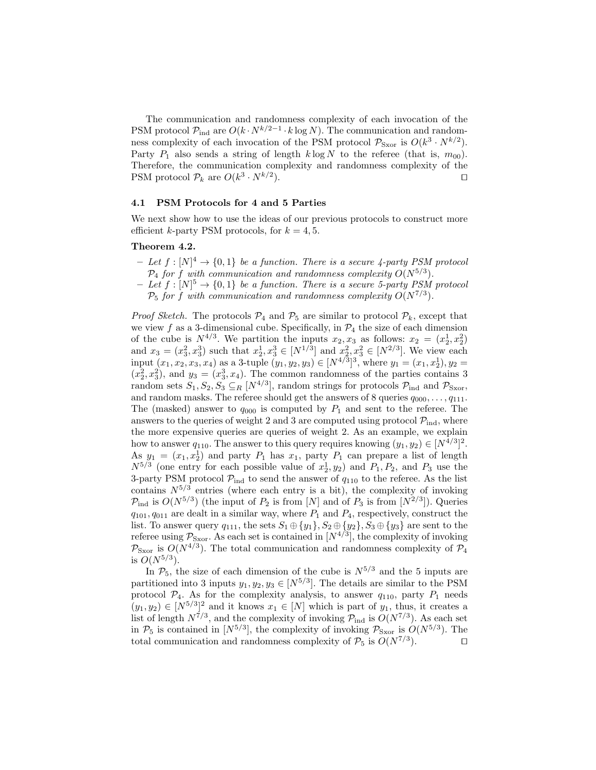The communication and randomness complexity of each invocation of the PSM protocol  $\mathcal{P}_{\text{ind}}$  are  $O(k \cdot N^{k/2-1} \cdot k \log N)$ . The communication and randomness complexity of each invocation of the PSM protocol  $\mathcal{P}_{\text{Sxor}}$  is  $O(k^3 \cdot N^{k/2})$ . Party  $P_1$  also sends a string of length  $k \log N$  to the referee (that is,  $m_{00}$ ). Therefore, the communication complexity and randomness complexity of the PSM protocol  $\mathcal{P}_k$  are  $O(k^3 \cdot N^{k/2})$ ).  $\qquad \qquad \Box$ 

# 4.1 PSM Protocols for 4 and 5 Parties

We next show how to use the ideas of our previous protocols to construct more efficient k-party PSM protocols, for  $k = 4, 5$ .

### Theorem 4.2.

- $-I$   $Let f : [N]^4 \rightarrow \{0,1\}$  be a function. There is a secure 4-party PSM protocol  $\mathcal{P}_4$  for f with communication and randomness complexity  $O(N^{5/3})$ .
- $-Iet f: [N]^5 \rightarrow \{0,1\}$  be a function. There is a secure 5-party PSM protocol  $P_5$  for f with communication and randomness complexity  $O(N^{7/3})$ .

*Proof Sketch.* The protocols  $\mathcal{P}_4$  and  $\mathcal{P}_5$  are similar to protocol  $\mathcal{P}_k$ , except that we view f as a 3-dimensional cube. Specifically, in  $\mathcal{P}_4$  the size of each dimension of the cube is  $N^{4/3}$ . We partition the inputs  $x_2, x_3$  as follows:  $x_2 = (x_2^1, x_2^2)$ and  $x_3 = (x_3^2, x_3^3)$  such that  $x_2^1, x_3^3 \in [N^{1/3}]$  and  $x_2^2, x_3^2 \in [N^{2/3}]$ . We view each input  $(x_1, x_2, x_3, x_4)$  as a 3-tuple  $(y_1, y_2, y_3) \in [N^{4/3}]^3$ , where  $y_1 = (x_1, x_2^1), y_2 =$  $(x_2^2, x_3^2)$ , and  $y_3 = (x_3^3, x_4)$ . The common randomness of the parties contains 3 random sets  $S_1, S_2, S_3 \subseteq_R [N^{4/3}]$ , random strings for protocols  $\mathcal{P}_{\text{ind}}$  and  $\mathcal{P}_{\text{Sxor}}$ , and random masks. The referee should get the answers of 8 queries  $q_{000}, \ldots, q_{111}$ . The (masked) answer to  $q_{000}$  is computed by  $P_1$  and sent to the referee. The answers to the queries of weight 2 and 3 are computed using protocol  $\mathcal{P}_{ind}$ , where the more expensive queries are queries of weight 2. As an example, we explain how to answer  $q_{110}$ . The answer to this query requires knowing  $(y_1, y_2) \in [N^{4/3}]^2$ . As  $y_1 = (x_1, x_2^1)$  and party  $P_1$  has  $x_1$ , party  $P_1$  can prepare a list of length  $N^{5/3}$  (one entry for each possible value of  $x_2^1, y_2$ ) and  $P_1, P_2$ , and  $P_3$  use the 3-party PSM protocol  $P_{ind}$  to send the answer of  $q_{110}$  to the referee. As the list contains  $N^{5/3}$  entries (where each entry is a bit), the complexity of invoking  $\mathcal{P}_{\text{ind}}$  is  $O(N^{5/3})$  (the input of  $P_2$  is from [N] and of  $P_3$  is from [N<sup>2/3</sup>]). Queries  $q_{101}, q_{011}$  are dealt in a similar way, where  $P_1$  and  $P_4$ , respectively, construct the list. To answer query  $q_{111}$ , the sets  $S_1 \oplus \{y_1\}$ ,  $S_2 \oplus \{y_2\}$ ,  $S_3 \oplus \{y_3\}$  are sent to the referee using  $\mathcal{P}_{\text{Sxor}}$ . As each set is contained in  $[N^{4/3}]$ , the complexity of invoking  $\mathcal{P}_{\text{Sxor}}$  is  $O(N^{4/3})$ . The total communication and randomness complexity of  $\mathcal{P}_4$ is  $O(N^{5/3})$ .

In  $\mathcal{P}_5$ , the size of each dimension of the cube is  $N^{5/3}$  and the 5 inputs are partitioned into 3 inputs  $y_1, y_2, y_3 \in [N^{5/3}]$ . The details are similar to the PSM protocol  $\mathcal{P}_4$ . As for the complexity analysis, to answer  $q_{110}$ , party  $P_1$  needs  $(y_1, y_2) \in [N^{5/3}]^2$  and it knows  $x_1 \in [N]$  which is part of  $y_1$ , thus, it creates a list of length  $N^{7/3}$ , and the complexity of invoking  $P_{\text{ind}}$  is  $O(N^{7/3})$ . As each set in  $\mathcal{P}_5$  is contained in  $[N^{5/3}]$ , the complexity of invoking  $\mathcal{P}_{S\text{xor}}$  is  $O(N^{5/3})$ . The total communication and randomness complexity of  $P_5$  is  $O(N^{7/3})$ .  $\Box$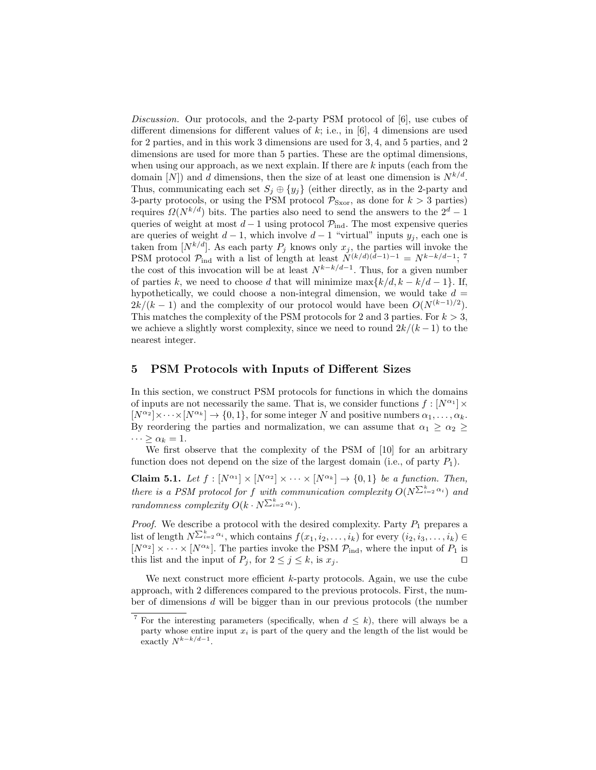Discussion. Our protocols, and the 2-party PSM protocol of [6], use cubes of different dimensions for different values of  $k$ ; i.e., in [6], 4 dimensions are used for 2 parties, and in this work 3 dimensions are used for 3, 4, and 5 parties, and 2 dimensions are used for more than 5 parties. These are the optimal dimensions, when using our approach, as we next explain. If there are  $k$  inputs (each from the domain  $[N]$  and d dimensions, then the size of at least one dimension is  $N^{k/d}$ . Thus, communicating each set  $S_i \oplus \{y_i\}$  (either directly, as in the 2-party and 3-party protocols, or using the PSM protocol  $\mathcal{P}_{S\text{xor}}$ , as done for  $k > 3$  parties) requires  $\Omega(N^{k/d})$  bits. The parties also need to send the answers to the  $2^d - 1$ queries of weight at most  $d-1$  using protocol  $\mathcal{P}_{ind}$ . The most expensive queries are queries of weight  $d-1$ , which involve  $d-1$  "virtual" inputs  $y_j$ , each one is taken from  $[N^{k/d}]$ . As each party  $P_j$  knows only  $x_j$ , the parties will invoke the PSM protocol  $\mathcal{P}_{ind}$  with a list of length at least  $N^{(k/d)(d-1)-1} = N^{k-k/d-1}$ ; 7 the cost of this invocation will be at least  $N^{k-k/d-1}$ . Thus, for a given number of parties k, we need to choose d that will minimize  $\max\{k/d, k - k/d - 1\}$ . If, hypothetically, we could choose a non-integral dimension, we would take  $d =$  $2k/(k-1)$  and the complexity of our protocol would have been  $O(N^{(k-1)/2})$ . This matches the complexity of the PSM protocols for 2 and 3 parties. For  $k > 3$ , we achieve a slightly worst complexity, since we need to round  $2k/(k-1)$  to the nearest integer.

## 5 PSM Protocols with Inputs of Different Sizes

In this section, we construct PSM protocols for functions in which the domains of inputs are not necessarily the same. That is, we consider functions  $f: [N^{\alpha_1}] \times$  $[N^{\alpha_2}] \times \cdots \times [N^{\alpha_k}] \to \{0,1\}$ , for some integer N and positive numbers  $\alpha_1, \ldots, \alpha_k$ . By reordering the parties and normalization, we can assume that  $\alpha_1 \geq \alpha_2 \geq$  $\cdots \geq \alpha_k = 1.$ 

We first observe that the complexity of the PSM of [10] for an arbitrary function does not depend on the size of the largest domain (i.e., of party  $P_1$ ).

**Claim 5.1.** Let  $f : [N^{\alpha_1}] \times [N^{\alpha_2}] \times \cdots \times [N^{\alpha_k}] \rightarrow \{0,1\}$  be a function. Then, there is a PSM protocol for f with communication complexity  $O(N^{\sum_{i=2}^{k} \alpha_i})$  and randomness complexity  $O(k \cdot N^{\sum_{i=2}^{k} \alpha_i}).$ 

*Proof.* We describe a protocol with the desired complexity. Party  $P_1$  prepares a list of length  $N^{\sum_{i=2}^k \alpha_i}$ , which contains  $f(x_1, i_2, \ldots, i_k)$  for every  $(i_2, i_3, \ldots, i_k)$  $[N^{\alpha_2}] \times \cdots \times [N^{\alpha_k}]$ . The parties invoke the PSM  $\mathcal{P}_{ind}$ , where the input of  $P_1$  is this list and the input of  $P_j$ , for  $2 \leq j \leq k$ , is  $x_j$ .

We next construct more efficient  $k$ -party protocols. Again, we use the cube approach, with 2 differences compared to the previous protocols. First, the number of dimensions d will be bigger than in our previous protocols (the number

<sup>&</sup>lt;sup>7</sup> For the interesting parameters (specifically, when  $d \leq k$ ), there will always be a party whose entire input  $x_i$  is part of the query and the length of the list would be exactly  $N^{k-k/d-1}$ .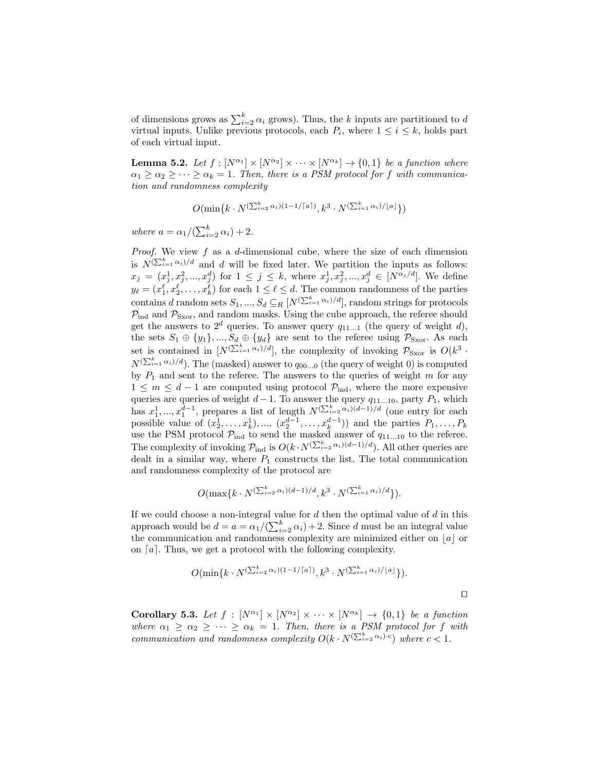of dimensions grows as  $\sum_{i=2}^{k} \alpha_i$  grows). Thus, the k inputs are partitioned to d virtual inputs. Unlike previous protocols, each  $P_i$ , where  $1 \leq i \leq k$ , holds part of each virtual input.

**Lemma 5.2.** Let  $f : [N^{\alpha_1}] \times [N^{\alpha_2}] \times \cdots \times [N^{\alpha_k}] \rightarrow \{0,1\}$  be a function where  $\alpha_1 \geq \alpha_2 \geq \cdots \geq \alpha_k = 1$ . Then, there is a PSM protocol for f with communication and randomness complexity

 $O(\min\{k\cdot N^{(\sum_{i=2}^k\alpha_i)(1-1/\lceil a\rceil)}, k^3\cdot N^{(\sum_{i=1}^k\alpha_i)/\lfloor a\rfloor}\})$ 

where  $a = \alpha_1/(\sum_{i=2}^k \alpha_i) + 2$ .

*Proof.* We view  $f$  as a  $d$ -dimensional cube, where the size of each dimension is  $N^{(\sum_{i=1}^k \alpha_i)/d}$  and d will be fixed later. We partition the inputs as follows:  $x_j = (x_j^1, x_j^2, ..., x_j^d)$  for  $1 \leq j \leq k$ , where  $x_j^1, x_j^2, ..., x_j^d \in [N^{\alpha_j/d}]$ . We define  $y_{\ell} = (x_1^{\ell}, x_2^{\ell}, \dots, x_k^{\ell})$  for each  $1 \leq \ell \leq d$ . The common randomness of the parties contains d random sets  $S_1, ..., S_d \subseteq_R [N^{(\sum_{i=1}^k \alpha_i)/d}]$ , random strings for protocols  $P_{ind}$  and  $P_{Sxor}$ , and random masks. Using the cube approach, the referee should get the answers to  $2^d$  queries. To answer query  $q_{11...1}$  (the query of weight d), the sets  $S_1 \oplus \{y_1\}$ , ...,  $S_d \oplus \{y_d\}$  are sent to the referee using  $\mathcal{P}_{S\text{xor}}$ . As each set is contained in  $[N^{(\sum_{i=1}^k \alpha_i)/d}]$ , the complexity of invoking  $\mathcal{P}_{\text{Sxor}}$  is  $O(k^3 \cdot$  $N^{(\sum_{i=1}^k \alpha_i)/d})$ . The (masked) answer to  $q_{00...0}$  (the query of weight 0) is computed by  $P_1$  and sent to the referee. The answers to the queries of weight m for any  $1 \leq m \leq d-1$  are computed using protocol  $\mathcal{P}_{ind}$ , where the more expensive queries are queries of weight  $d-1$ . To answer the query  $q_{11...10}$ , party  $P_1$ , which has  $x_1^1, ..., x_1^{d-1}$ , prepares a list of length  $N^{(\sum_{i=2}^k \alpha_i)(d-1)/d}$  (one entry for each possible value of  $(x_2^1, \ldots, x_k^1), \ldots, (x_2^{d-1}, \ldots, x_k^{d-1})$  and the parties  $P_1, \ldots, P_k$ use the PSM protocol  $\mathcal{P}_{ind}$  to send the masked answer of  $q_{11...10}$  to the referee. The complexity of invoking  $\mathcal{P}_{ind}$  is  $O(k \cdot N^{(\sum_{i=2}^k \alpha_i)(d-1)/d})$ . All other queries are dealt in a similar way, where  $P_1$  constructs the list. The total communication and randomness complexity of the protocol are

$$
O(\max\{k \cdot N^{(\sum_{i=2}^k \alpha_i)(d-1)/d}, k^3 \cdot N^{(\sum_{i=1}^k \alpha_i)/d}\}).
$$

If we could choose a non-integral value for  $d$  then the optimal value of  $d$  in this approach would be  $d = a = \alpha_1 / (\sum_{i=2}^k \alpha_i) + 2$ . Since d must be an integral value the communication and randomness complexity are minimized either on  $|a|$  or on  $[a]$ . Thus, we get a protocol with the following complexity.

$$
O(\min\{k\cdot N^{(\sum_{i=2}^k \alpha_i)(1-1/\lceil a\rceil)}, k^3\cdot N^{(\sum_{i=1}^k \alpha_i)/\lfloor a\rfloor}\}).
$$

 $\Box$ 

Corollary 5.3. Let  $f : [N^{\alpha_1}] \times [N^{\alpha_2}] \times \cdots \times [N^{\alpha_k}] \rightarrow \{0,1\}$  be a function where  $\alpha_1 \geq \alpha_2 \geq \cdots \geq \alpha_k = 1$ . Then, there is a PSM protocol for f with communication and randomness complexity  $O(k \cdot N^{(\sum_{i=2}^k \alpha_i)c})$  where  $c < 1$ .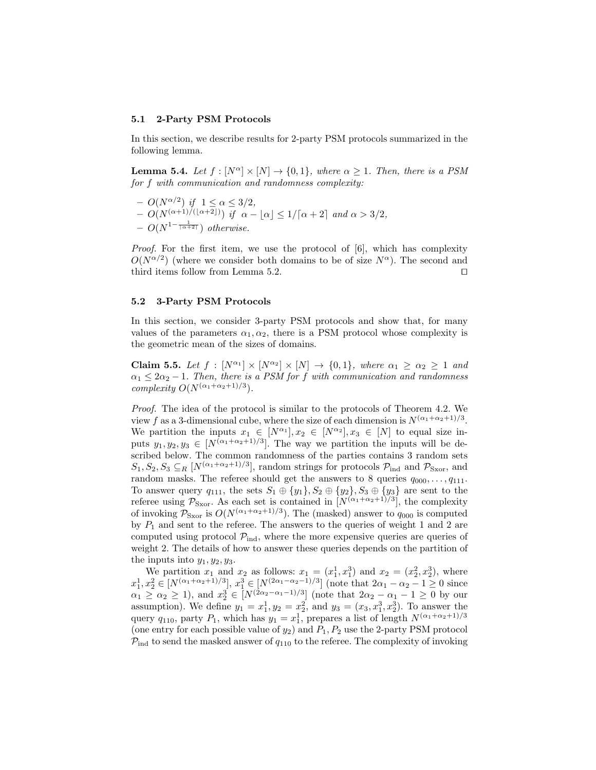#### 5.1 2-Party PSM Protocols

In this section, we describe results for 2-party PSM protocols summarized in the following lemma.

**Lemma 5.4.** Let  $f : [N^{\alpha}] \times [N] \rightarrow \{0, 1\}$ , where  $\alpha \geq 1$ . Then, there is a PSM for f with communication and randomness complexity:

 $- O(N^{\alpha/2})$  if  $1 \leq \alpha \leq 3/2$ ,  $- O(N^{(\alpha+1)/(\lfloor \alpha+2 \rfloor)})$  if  $\alpha - |\alpha| \leq 1/[\alpha + 2]$  and  $\alpha > 3/2$ ,  $- O(N^{1-\frac{1}{\lceil \alpha+2 \rceil}})$  otherwise.

Proof. For the first item, we use the protocol of [6], which has complexity  $O(N^{\alpha/2})$  (where we consider both domains to be of size  $N^{\alpha}$ ). The second and third items follow from Lemma 5.2.  $\Box$ 

### 5.2 3-Party PSM Protocols

In this section, we consider 3-party PSM protocols and show that, for many values of the parameters  $\alpha_1, \alpha_2$ , there is a PSM protocol whose complexity is the geometric mean of the sizes of domains.

**Claim 5.5.** Let  $f : [N^{\alpha_1}] \times [N^{\alpha_2}] \times [N] \rightarrow \{0,1\}$ , where  $\alpha_1 \geq \alpha_2 \geq 1$  and  $\alpha_1 \leq 2\alpha_2 - 1$ . Then, there is a PSM for f with communication and randomness complexity  $O(N^{(\alpha_1+\alpha_2+1)/3})$ .

Proof. The idea of the protocol is similar to the protocols of Theorem 4.2. We view f as a 3-dimensional cube, where the size of each dimension is  $N^{(\alpha_1+\alpha_2+1)/3}$ . We partition the inputs  $x_1 \in [N^{\alpha_1}], x_2 \in [N^{\alpha_2}], x_3 \in [N]$  to equal size inputs  $y_1, y_2, y_3 \in [N^{(\alpha_1 + \alpha_2 + 1)/3}]$ . The way we partition the inputs will be described below. The common randomness of the parties contains 3 random sets  $S_1, S_2, S_3 \subseteq_R [N^{(\alpha_1+\alpha_2+1)/3}]$ , random strings for protocols  $\mathcal{P}_{\text{ind}}$  and  $\mathcal{P}_{\text{Sxor}}$ , and random masks. The referee should get the answers to 8 queries  $q_{000}, \ldots, q_{111}$ . To answer query  $q_{111}$ , the sets  $S_1 \oplus \{y_1\}$ ,  $S_2 \oplus \{y_2\}$ ,  $S_3 \oplus \{y_3\}$  are sent to the referee using  $\mathcal{P}_{S\text{xor}}$ . As each set is contained in  $[N^{(\alpha_1+\alpha_2+1)/3}]$ , the complexity of invoking  $P_{\text{Sxor}}$  is  $O(N^{(\alpha_1+\alpha_2+1)/3})$ . The (masked) answer to  $q_{000}$  is computed by  $P_1$  and sent to the referee. The answers to the queries of weight 1 and 2 are computed using protocol  $\mathcal{P}_{ind}$ , where the more expensive queries are queries of weight 2. The details of how to answer these queries depends on the partition of the inputs into  $y_1, y_2, y_3$ .

We partition  $x_1$  and  $x_2$  as follows:  $x_1 = (x_1^1, x_1^3)$  and  $x_2 = (x_2^2, x_2^3)$ , where  $x_1^1, x_2^2 \in [N^{(\alpha_1 + \alpha_2 + 1)/3}], x_1^3 \in [N^{(2\alpha_1 - \alpha_2 - 1)/3}]$  (note that  $2\alpha_1 - \alpha_2 - 1 \ge 0$  since  $\alpha_1 \ge \alpha_2 \ge 1$ ), and  $x_2^3 \in [N^{(2\alpha_2 - \alpha_1 - 1)/3}]$  (note that  $2\alpha_2 - \alpha_1 - 1 \ge 0$  by our assumption). We define  $y_1 = x_1^1, y_2 = x_2^2$ , and  $y_3 = (x_3, x_1^3, x_2^3)$ . To answer the query  $q_{110}$ , party  $P_1$ , which has  $y_1 = x_1^1$ , prepares a list of length  $N^{(\alpha_1 + \alpha_2 + 1)/3}$ (one entry for each possible value of  $y_2$ ) and  $P_1, P_2$  use the 2-party PSM protocol  $P_{\text{ind}}$  to send the masked answer of  $q_{110}$  to the referee. The complexity of invoking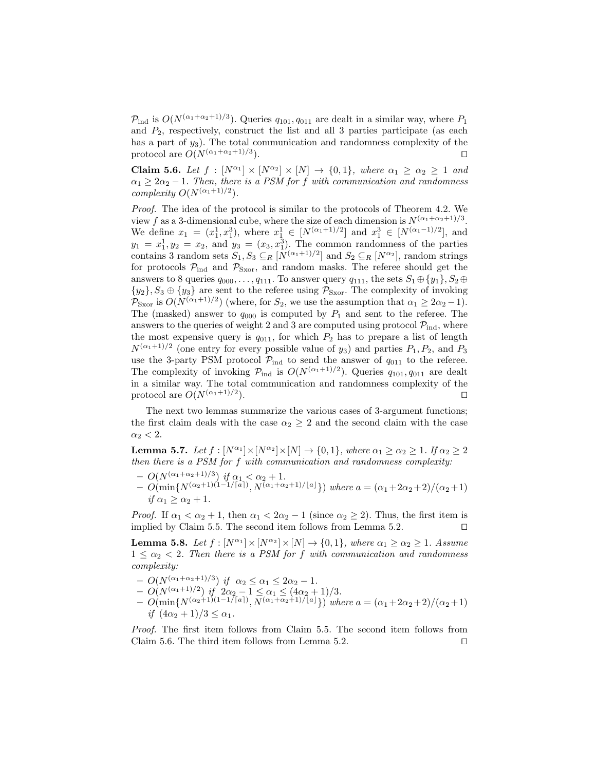$P_{\text{ind}}$  is  $O(N^{(\alpha_1+\alpha_2+1)/3})$ . Queries  $q_{101}, q_{011}$  are dealt in a similar way, where  $P_1$ and  $P_2$ , respectively, construct the list and all 3 parties participate (as each has a part of  $y_3$ ). The total communication and randomness complexity of the protocol are  $O(N^{(\alpha_1+\alpha_2+1)/3})$ . ).  $\qquad \qquad \Box$ 

**Claim 5.6.** Let  $f : [N^{\alpha_1}] \times [N^{\alpha_2}] \times [N] \rightarrow \{0,1\}$ , where  $\alpha_1 \geq \alpha_2 \geq 1$  and  $\alpha_1 \geq 2\alpha_2 - 1$ . Then, there is a PSM for f with communication and randomness complexity  $O(N^{(\alpha_1+1)/2})$ .

Proof. The idea of the protocol is similar to the protocols of Theorem 4.2. We view f as a 3-dimensional cube, where the size of each dimension is  $N^{(\alpha_1+\alpha_2+1)/3}$ . We define  $x_1 = (x_1^1, x_1^3)$ , where  $x_1^1 \in [N^{(\alpha_1+1)/2}]$  and  $x_1^3 \in [N^{(\alpha_1-1)/2}]$ , and  $y_1 = x_1^1, y_2 = x_2$ , and  $y_3 = (x_3, x_1^3)$ . The common randomness of the parties contains 3 random sets  $S_1, S_3 \subseteq_R [N^{(\alpha_1+1)/2}]$  and  $S_2 \subseteq_R [N^{\alpha_2}]$ , random strings for protocols  $P_{\text{ind}}$  and  $P_{\text{Sxor}}$ , and random masks. The referee should get the answers to 8 queries  $q_{000}, \ldots, q_{111}$ . To answer query  $q_{111}$ , the sets  $S_1 \oplus \{y_1\}, S_2 \oplus \{y_2\}$  $\{y_2\}, S_3 \oplus \{y_3\}$  are sent to the referee using  $\mathcal{P}_{S\text{xor}}$ . The complexity of invoking  $\mathcal{P}_{\text{Sxor}}$  is  $O(N^{(\alpha_1+1)/2})$  (where, for  $S_2$ , we use the assumption that  $\alpha_1 \geq 2\alpha_2 - 1$ ). The (masked) answer to  $q_{000}$  is computed by  $P_1$  and sent to the referee. The answers to the queries of weight 2 and 3 are computed using protocol  $\mathcal{P}_{ind}$ , where the most expensive query is  $q_{011}$ , for which  $P_2$  has to prepare a list of length  $N^{(\alpha_1+1)/2}$  (one entry for every possible value of  $y_3$ ) and parties  $P_1, P_2$ , and  $P_3$ use the 3-party PSM protocol  $\mathcal{P}_{ind}$  to send the answer of  $q_{011}$  to the referee. The complexity of invoking  $P_{\text{ind}}$  is  $O(N^{(\alpha_1+1)/2})$ . Queries  $q_{101}, q_{011}$  are dealt in a similar way. The total communication and randomness complexity of the protocol are  $O(N^{(\alpha_1+1)/2})$ . ).  $\qquad \qquad \Box$ 

The next two lemmas summarize the various cases of 3-argument functions; the first claim deals with the case  $\alpha_2 \geq 2$  and the second claim with the case  $\alpha_2 < 2$ .

**Lemma 5.7.** Let  $f : [N^{\alpha_1}] \times [N^{\alpha_2}] \times [N] \rightarrow \{0, 1\}$ , where  $\alpha_1 \ge \alpha_2 \ge 1$ . If  $\alpha_2 \ge 2$ then there is a PSM for f with communication and randomness complexity:

- $O(N^{(\alpha_1+\alpha_2+1)/3})$  if  $\alpha_1 < \alpha_2+1$ .
- $O(\min\{N^{(\alpha_2+1)(1-1/\lceil a \rceil)}, N^{(\alpha_1+\alpha_2+1)/\lceil a \rfloor}\})$  where  $a = (\alpha_1+2\alpha_2+2)/(\alpha_2+1)$ if  $\alpha_1 > \alpha_2 + 1$ .

*Proof.* If  $\alpha_1 < \alpha_2 + 1$ , then  $\alpha_1 < 2\alpha_2 - 1$  (since  $\alpha_2 \ge 2$ ). Thus, the first item is implied by Claim 5.5. The second item follows from Lemma 5.2.  $\Box$ 

**Lemma 5.8.** Let  $f : [N^{\alpha_1}] \times [N^{\alpha_2}] \times [N] \rightarrow \{0, 1\}$ , where  $\alpha_1 \geq \alpha_2 \geq 1$ . Assume  $1 \leq \alpha_2 < 2$ . Then there is a PSM for f with communication and randomness complexity:

- $O(N^{(\alpha_1 + \alpha_2 + 1)/3})$  if  $\alpha_2 \le \alpha_1 \le 2\alpha_2 1$ .
- $O(N^{(\alpha_1+1)/2})$  if  $2\alpha_2 1 \leq \alpha_1 \leq (4\alpha_2+1)/3$ .
- $O(\min\{N^{(\alpha_2+1)(1-1/\lceil a \rceil)}, N^{(\alpha_1+\alpha_2+1)/\lceil a \rfloor}\})$  where  $a = (\alpha_1+2\alpha_2+2)/(\alpha_2+1)$ if  $(4\alpha_2+1)/3 \leq \alpha_1$ .

Proof. The first item follows from Claim 5.5. The second item follows from Claim 5.6. The third item follows from Lemma 5.2.  $\Box$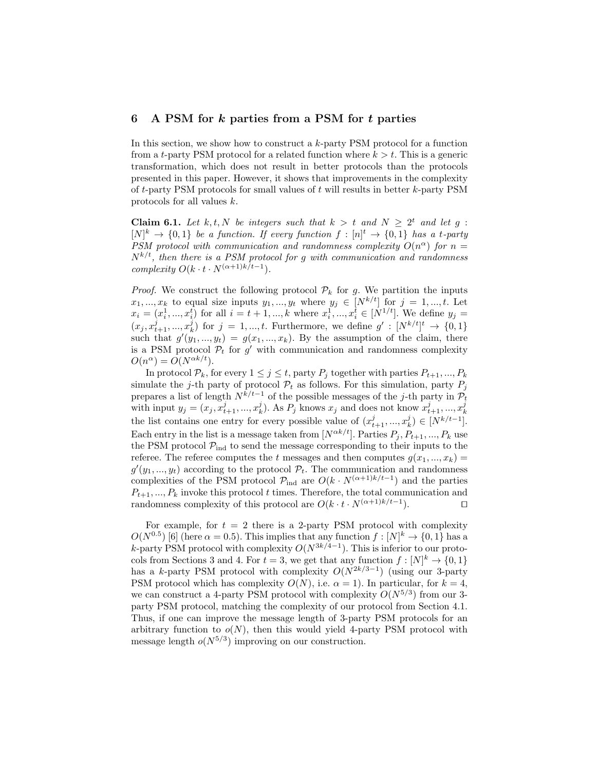# 6 A PSM for  $k$  parties from a PSM for  $t$  parties

In this section, we show how to construct a k-party PSM protocol for a function from a t-party PSM protocol for a related function where  $k > t$ . This is a generic transformation, which does not result in better protocols than the protocols presented in this paper. However, it shows that improvements in the complexity of t-party PSM protocols for small values of t will results in better  $k$ -party PSM protocols for all values k.

**Claim 6.1.** Let k, t, N be integers such that  $k > t$  and  $N \geq 2^t$  and let g:  $[N]^k \to \{0,1\}$  be a function. If every function  $f: [n]^t \to \{0,1\}$  has a t-party PSM protocol with communication and randomness complexity  $O(n^{\alpha})$  for  $n =$  $N^{k/t}$ , then there is a PSM protocol for g with communication and randomness complexity  $O(k \cdot t \cdot N^{(\alpha+1)k/t-1}).$ 

*Proof.* We construct the following protocol  $\mathcal{P}_k$  for g. We partition the inputs  $x_1, ..., x_k$  to equal size inputs  $y_1, ..., y_t$  where  $y_j \in [N^{k/t}]$  for  $j = 1, ..., t$ . Let  $x_i = (x_i^1, ..., x_i^t)$  for all  $i = t + 1, ..., k$  where  $x_i^1, ..., x_i^t \in [N^{1/t}]$ . We define  $y_j =$  $(x_j, x_{t+1}^j, ..., x_k^j)$  for  $j = 1, ..., t$ . Furthermore, we define  $g' : [N^{k/t}]^t \to \{0, 1\}$ such that  $g'(y_1, ..., y_t) = g(x_1, ..., x_k)$ . By the assumption of the claim, there is a PSM protocol  $P_t$  for  $g'$  with communication and randomness complexity  $O(n^{\alpha}) = O(N^{\alpha k/t}).$ 

In protocol  $\mathcal{P}_k$ , for every  $1 \leq j \leq t$ , party  $P_j$  together with parties  $P_{t+1},...,P_k$ simulate the j-th party of protocol  $\mathcal{P}_t$  as follows. For this simulation, party  $P_j$ prepares a list of length  $N^{k/t-1}$  of the possible messages of the j-th party in  $\mathcal{P}_t$ with input  $y_j = (x_j, x_{t+1}^j, ..., x_k^j)$ . As  $P_j$  knows  $x_j$  and does not know  $x_{t+1}^j, ..., x_k^j$ the list contains one entry for every possible value of  $(x_{t+1}^j, ..., x_k^j) \in [N^{k/t-1}]$ . Each entry in the list is a message taken from  $[N^{\alpha k/t}]$ . Parties  $P_i, P_{t+1}, ..., P_k$  use the PSM protocol  $\mathcal{P}_{ind}$  to send the message corresponding to their inputs to the referee. The referee computes the t messages and then computes  $g(x_1, ..., x_k)$  $g'(y_1, ..., y_t)$  according to the protocol  $\mathcal{P}_t$ . The communication and randomness complexities of the PSM protocol  $\mathcal{P}_{ind}$  are  $O(k \cdot N^{(\alpha+1)k/t-1})$  and the parties  $P_{t+1}, ..., P_k$  invoke this protocol t times. Therefore, the total communication and randomness complexity of this protocol are  $O(k \cdot t \cdot N^{(\alpha+1)k/t-1})$ . ).  $\qquad \qquad \Box$ 

For example, for  $t = 2$  there is a 2-party PSM protocol with complexity  $O(N^{0.5})$  [6] (here  $\alpha = 0.5$ ). This implies that any function  $f : [N]^k \to \{0, 1\}$  has a k-party PSM protocol with complexity  $O(N^{3k/4-1})$ . This is inferior to our protocols from Sections 3 and 4. For  $t = 3$ , we get that any function  $f : [N]^k \to \{0, 1\}$ has a k-party PSM protocol with complexity  $O(N^{2k/3-1})$  (using our 3-party PSM protocol which has complexity  $O(N)$ , i.e.  $\alpha = 1$ ). In particular, for  $k = 4$ , we can construct a 4-party PSM protocol with complexity  $O(N^{5/3})$  from our 3party PSM protocol, matching the complexity of our protocol from Section 4.1. Thus, if one can improve the message length of 3-party PSM protocols for an arbitrary function to  $o(N)$ , then this would yield 4-party PSM protocol with message length  $o(N^{5/3})$  improving on our construction.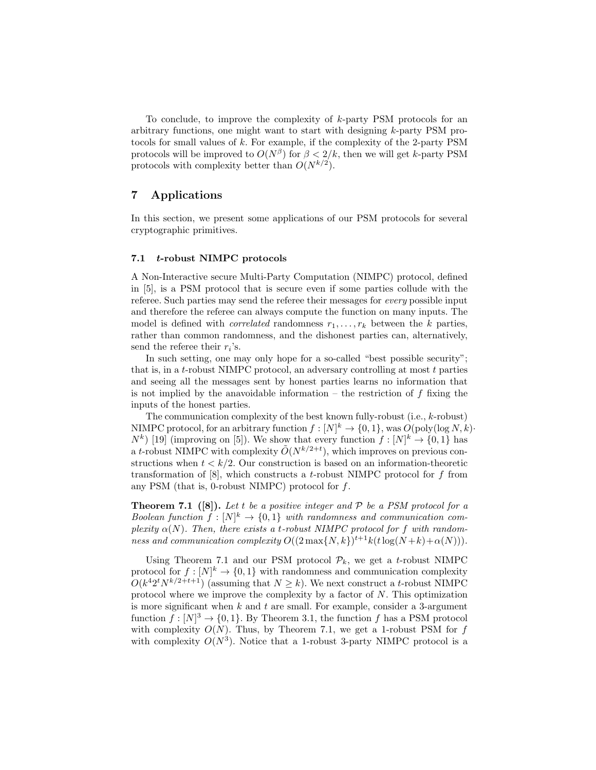To conclude, to improve the complexity of k-party PSM protocols for an arbitrary functions, one might want to start with designing k-party PSM protocols for small values of k. For example, if the complexity of the 2-party PSM protocols will be improved to  $O(N^{\beta})$  for  $\beta < 2/k$ , then we will get k-party PSM protocols with complexity better than  $O(N^{k/2})$ .

# 7 Applications

In this section, we present some applications of our PSM protocols for several cryptographic primitives.

### 7.1 t-robust NIMPC protocols

A Non-Interactive secure Multi-Party Computation (NIMPC) protocol, defined in [5], is a PSM protocol that is secure even if some parties collude with the referee. Such parties may send the referee their messages for every possible input and therefore the referee can always compute the function on many inputs. The model is defined with *correlated* randomness  $r_1, \ldots, r_k$  between the k parties, rather than common randomness, and the dishonest parties can, alternatively, send the referee their  $r_i$ 's.

In such setting, one may only hope for a so-called "best possible security"; that is, in a t-robust NIMPC protocol, an adversary controlling at most  $t$  parties and seeing all the messages sent by honest parties learns no information that is not implied by the anavoidable information – the restriction of  $f$  fixing the inputs of the honest parties.

The communication complexity of the best known fully-robust (i.e., k-robust) NIMPC protocol, for an arbitrary function  $f: [N]^k \to \{0, 1\}$ , was  $O(poly(\log N, k))$  $N^{k}$  [19] (improving on [5]). We show that every function  $f: [N]^{k} \to \{0,1\}$  has a t-robust NIMPC with complexity  $\tilde{O}(N^{k/2+t})$ , which improves on previous constructions when  $t < k/2$ . Our construction is based on an information-theoretic transformation of  $[8]$ , which constructs a t-robust NIMPC protocol for f from any PSM (that is, 0-robust NIMPC) protocol for  $f$ .

**Theorem 7.1** ([8]). Let t be a positive integer and  $P$  be a PSM protocol for a Boolean function  $f: [N]^k \to \{0,1\}$  with randomness and communication complexity  $\alpha(N)$ . Then, there exists a t-robust NIMPC protocol for f with randomness and communication complexity  $O((2 \max\{N,k\})^{t+1} k(t \log(N+k)+\alpha(N))).$ 

Using Theorem 7.1 and our PSM protocol  $\mathcal{P}_k$ , we get a t-robust NIMPC protocol for  $f: [N]^k \to \{0,1\}$  with randomness and communication complexity  $O(k^{4}2^{t}N^{k/2+t+1})$  (assuming that  $N \geq k$ ). We next construct a t-robust NIMPC protocol where we improve the complexity by a factor of  $N$ . This optimization is more significant when  $k$  and  $t$  are small. For example, consider a 3-argument function  $f: [N]^3 \to \{0, 1\}$ . By Theorem 3.1, the function f has a PSM protocol with complexity  $O(N)$ . Thus, by Theorem 7.1, we get a 1-robust PSM for f with complexity  $O(N^3)$ . Notice that a 1-robust 3-party NIMPC protocol is a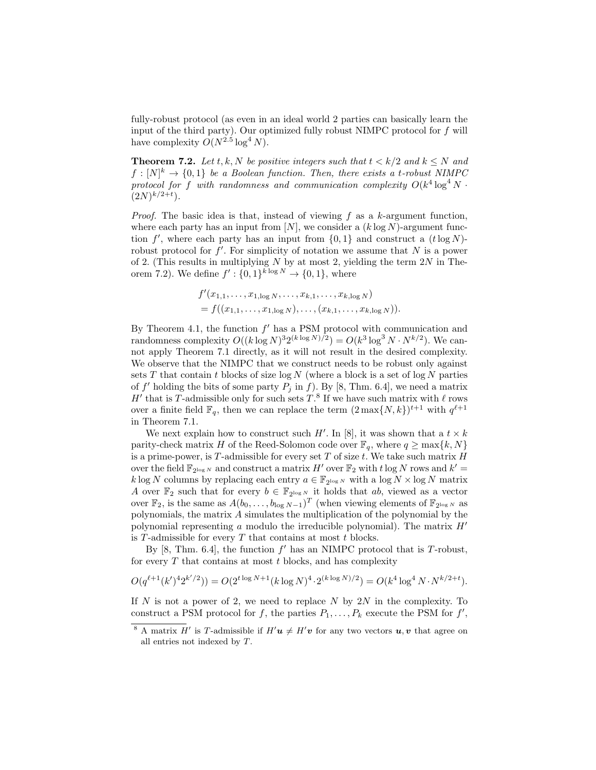fully-robust protocol (as even in an ideal world 2 parties can basically learn the input of the third party). Our optimized fully robust NIMPC protocol for f will have complexity  $O(N^{2.5} \log^4 N)$ .

**Theorem 7.2.** Let t, k, N be positive integers such that  $t < k/2$  and  $k < N$  and  $f: [N]^k \to \{0,1\}$  be a Boolean function. Then, there exists a t-robust NIMPC protocol for f with randomness and communication complexity  $O(k^4 \log^4 N \cdot$  $(2N)^{k/2+t}$ ).

*Proof.* The basic idea is that, instead of viewing  $f$  as a  $k$ -argument function, where each party has an input from  $[N]$ , we consider a  $(k \log N)$ -argument function  $f'$ , where each party has an input from  $\{0,1\}$  and construct a  $(t \log N)$ robust protocol for  $f'$ . For simplicity of notation we assume that N is a power of 2. (This results in multiplying  $N$  by at most 2, yielding the term  $2N$  in Theorem 7.2). We define  $f' : \{0,1\}^{k \log N} \to \{0,1\}$ , where

$$
f'(x_{1,1},\ldots,x_{1,\log N},\ldots,x_{k,1},\ldots,x_{k,\log N})
$$
  
=  $f((x_{1,1},\ldots,x_{1,\log N}),\ldots,(x_{k,1},\ldots,x_{k,\log N})).$ 

 $\overline{a}$ 

By Theorem 4.1, the function  $f'$  has a PSM protocol with communication and randomness complexity  $O((k \log N)^3 2^{(k \log N)/2}) = O(k^3 \log^3 N \cdot N^{k/2})$ . We cannot apply Theorem 7.1 directly, as it will not result in the desired complexity. We observe that the NIMPC that we construct needs to be robust only against sets  $T$  that contain  $t$  blocks of size log  $N$  (where a block is a set of log  $N$  parties of f' holding the bits of some party  $P_j$  in f). By [8, Thm. 6.4], we need a matrix H' that is T-admissible only for such sets  $T$ .<sup>8</sup> If we have such matrix with  $\ell$  rows over a finite field  $\mathbb{F}_q$ , then we can replace the term  $(2 \max\{N, k\})^{t+1}$  with  $q^{\ell+1}$ in Theorem 7.1.

We next explain how to construct such  $H'$ . In [8], it was shown that a  $t \times k$ parity-check matrix H of the Reed-Solomon code over  $\mathbb{F}_q$ , where  $q \geq \max\{k, N\}$ is a prime-power, is  $T$ -admissible for every set  $T$  of size  $t$ . We take such matrix  $H$ over the field  $\mathbb{F}_{2^{\log N}}$  and construct a matrix  $H'$  over  $\mathbb{F}_2$  with  $t \log N$  rows and  $k' =$  $k \log N$  columns by replacing each entry  $a \in \mathbb{F}_{2^{\log N}}$  with a  $\log N \times \log N$  matrix A over  $\mathbb{F}_2$  such that for every  $b \in \mathbb{F}_{2^{\log N}}$  it holds that ab, viewed as a vector over  $\mathbb{F}_2$ , is the same as  $A(b_0, \ldots, b_{\log N-1})^T$  (when viewing elements of  $\mathbb{F}_{2^{\log N}}$  as polynomials, the matrix A simulates the multiplication of the polynomial by the polynomial representing a modulo the irreducible polynomial). The matrix  $H'$ is  $T$ -admissible for every  $T$  that contains at most  $t$  blocks.

By  $[8, Thm. 6.4]$ , the function  $f'$  has an NIMPC protocol that is T-robust, for every  $T$  that contains at most  $t$  blocks, and has complexity

$$
O(q^{\ell+1}(k')^4 2^{k'/2})) = O(2^{t \log N + 1} (k \log N)^4 \cdot 2^{(k \log N)/2}) = O(k^4 \log^4 N \cdot N^{k/2 + t}).
$$

If  $N$  is not a power of 2, we need to replace  $N$  by  $2N$  in the complexity. To construct a PSM protocol for f, the parties  $P_1, \ldots, P_k$  execute the PSM for f',

<sup>&</sup>lt;sup>8</sup> A matrix H' is T-admissible if  $H'$ **u**  $\neq$  H'**v** for any two vectors **u**, **v** that agree on all entries not indexed by T.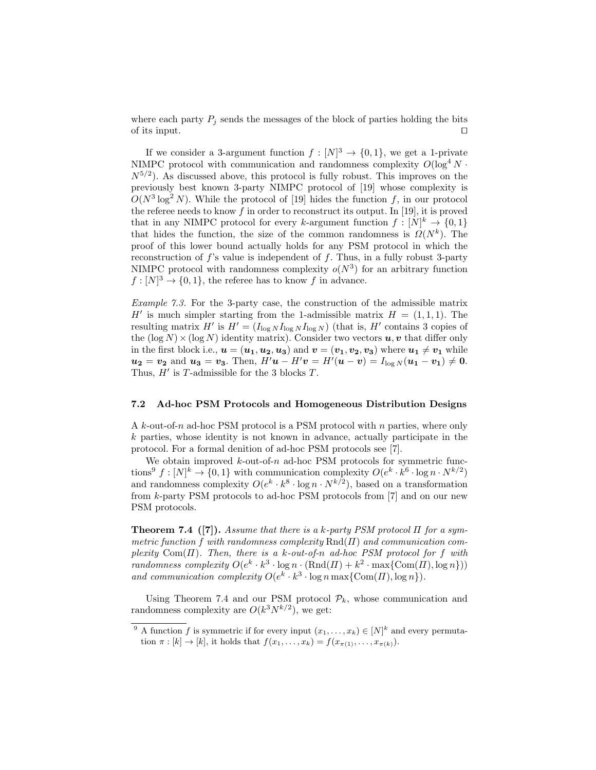where each party  $P_i$  sends the messages of the block of parties holding the bits of its input.  $\Box$ 

If we consider a 3-argument function  $f: [N]^3 \to \{0,1\}$ , we get a 1-private NIMPC protocol with communication and randomness complexity  $O(\log^4 N \cdot$  $N^{5/2}$ ). As discussed above, this protocol is fully robust. This improves on the previously best known 3-party NIMPC protocol of [19] whose complexity is  $O(N^3 \log^2 N)$ . While the protocol of [19] hides the function f, in our protocol the referee needs to know  $f$  in order to reconstruct its output. In [19], it is proved that in any NIMPC protocol for every k-argument function  $f: [N]^k \to \{0,1\}$ that hides the function, the size of the common randomness is  $\Omega(N^k)$ . The proof of this lower bound actually holds for any PSM protocol in which the reconstruction of  $f$ 's value is independent of  $f$ . Thus, in a fully robust 3-party NIMPC protocol with randomness complexity  $o(N^3)$  for an arbitrary function  $f: [N]^3 \to \{0, 1\}$ , the referee has to know f in advance.

Example 7.3. For the 3-party case, the construction of the admissible matrix H' is much simpler starting from the 1-admissible matrix  $H = (1, 1, 1)$ . The resulting matrix H' is  $H' = (I_{\log N} I_{\log N} I_{\log N})$  (that is, H' contains 3 copies of the  $(\log N) \times (\log N)$  identity matrix). Consider two vectors  $u, v$  that differ only in the first block i.e.,  $u = (u_1, u_2, u_3)$  and  $v = (v_1, v_2, v_3)$  where  $u_1 \neq v_1$  while  $u_2 = v_2$  and  $u_3 = v_3$ . Then,  $H'u - H'v = H'(u - v) = I_{\log N}(u_1 - v_1) \neq 0$ . Thus,  $H'$  is T-admissible for the 3 blocks T.

### 7.2 Ad-hoc PSM Protocols and Homogeneous Distribution Designs

A k-out-of-n ad-hoc PSM protocol is a PSM protocol with n parties, where only  $k$  parties, whose identity is not known in advance, actually participate in the protocol. For a formal denition of ad-hoc PSM protocols see [7].

We obtain improved  $k$ -out-of-n ad-hoc PSM protocols for symmetric functions<sup>9</sup>  $f: [N]^k \to \{0,1\}$  with communication complexity  $O(e^k \cdot k^6 \cdot \log n \cdot N^{k/2})$ and randomness complexity  $O(e^k \cdot k^8 \cdot \log n \cdot N^{k/2})$ , based on a transformation from k-party PSM protocols to ad-hoc PSM protocols from [7] and on our new PSM protocols.

**Theorem 7.4** ([7]). Assume that there is a k-party PSM protocol  $\Pi$  for a symmetric function f with randomness complexity  $\text{Rnd}(H)$  and communication complexity Com( $\Pi$ ). Then, there is a k-out-of-n ad-hoc PSM protocol for f with randomness complexity  $O(e^k \cdot k^3 \cdot \log n \cdot (\text{Rnd}(H) + k^2 \cdot \max{\text{Com}(H), \log n})$ and communication complexity  $O(e^k \cdot k^3 \cdot \log n \max\{\text{Com}(H), \log n\}).$ 

Using Theorem 7.4 and our PSM protocol  $P_k$ , whose communication and randomness complexity are  $O(k^3 N^{k/2})$ , we get:

<sup>&</sup>lt;sup>9</sup> A function f is symmetric if for every input  $(x_1, \ldots, x_k) \in [N]^k$  and every permutation  $\pi : [k] \to [k]$ , it holds that  $f(x_1, ..., x_k) = f(x_{\pi(1)}, ..., x_{\pi(k)})$ .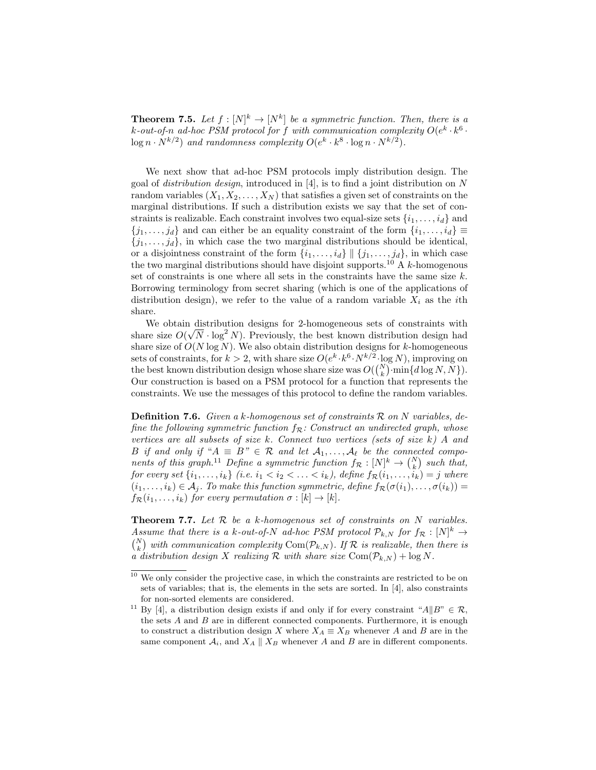**Theorem 7.5.** Let  $f : [N]^k \to [N^k]$  be a symmetric function. Then, there is a k-out-of-n ad-hoc PSM protocol for f with communication complexity  $O(e^k \cdot k^6 \cdot$  $\log n \cdot N^{k/2}$  and randomness complexity  $O(e^k \cdot k^8 \cdot \log n \cdot N^{k/2})$ .

We next show that ad-hoc PSM protocols imply distribution design. The goal of *distribution design*, introduced in [4], is to find a joint distribution on N random variables  $(X_1, X_2, \ldots, X_N)$  that satisfies a given set of constraints on the marginal distributions. If such a distribution exists we say that the set of constraints is realizable. Each constraint involves two equal-size sets  $\{i_1, \ldots, i_d\}$  and  ${j_1, \ldots, j_d}$  and can either be an equality constraint of the form  $\{i_1, \ldots, i_d\} \equiv$  ${j_1, \ldots, j_d}$ , in which case the two marginal distributions should be identical, or a disjointness constraint of the form  $\{i_1, \ldots, i_d\} \parallel \{j_1, \ldots, j_d\}$ , in which case the two marginal distributions should have disjoint supports.<sup>10</sup> A  $k$ -homogenous set of constraints is one where all sets in the constraints have the same size  $k$ . Borrowing terminology from secret sharing (which is one of the applications of distribution design), we refer to the value of a random variable  $X_i$  as the *i*th share.

We obtain distribution designs for 2-homogeneous sets of constraints with share size  $O(\sqrt{N} \cdot \log^2 N)$ . Previously, the best known distribution design had share size of  $O(N \log N)$ . We also obtain distribution designs for k-homogeneous sets of constraints, for  $k > 2$ , with share size  $O(e^{k} \cdot k^6 \cdot N^{k/2} \cdot \log N)$ , improving on the best known distribution design whose share size was  $O({N \choose k} \cdot \min\{d \log N, N\})$ . Our construction is based on a PSM protocol for a function that represents the constraints. We use the messages of this protocol to define the random variables.

**Definition 7.6.** Given a k-homogenous set of constraints  $\mathcal{R}$  on  $N$  variables, define the following symmetric function  $f_{\mathcal{R}}$ : Construct an undirected graph, whose vertices are all subsets of size k. Connect two vertices (sets of size k) A and B if and only if " $A \equiv B$ "  $\in \mathcal{R}$  and let  $A_1, \ldots, A_\ell$  be the connected components of this graph.<sup>11</sup> Define a symmetric function  $f_{\mathcal{R}} : [N]^k \to {N \choose k}$  such that, for every set  $\{i_1, \ldots, i_k\}$  (i.e.  $i_1 < i_2 < \ldots < i_k$ ), define  $f_{\mathcal{R}}(i_1, \ldots, i_k) = j$  where  $(i_1, \ldots, i_k) \in A_j$ . To make this function symmetric, define  $f_{\mathcal{R}}(\sigma(i_1), \ldots, \sigma(i_k)) =$  $f_{\mathcal{R}}(i_1,\ldots,i_k)$  for every permutation  $\sigma : [k] \to [k]$ .

**Theorem 7.7.** Let  $R$  be a k-homogenous set of constraints on  $N$  variables. Assume that there is a k-out-of-N ad-hoc PSM protocol  $\mathcal{P}_{k,N}$  for  $f_{\mathcal{R}} : [N]^k \to$  $\binom{N}{k}$  with communication complexity Com( $\mathcal{P}_{k,N}$ ). If  $\mathcal R$  is realizable, then there is a distribution design X realizing R with share size Com $(\mathcal{P}_{k,N}) + \log N$ .

<sup>&</sup>lt;sup>10</sup> We only consider the projective case, in which the constraints are restricted to be on sets of variables; that is, the elements in the sets are sorted. In [4], also constraints for non-sorted elements are considered.

<sup>&</sup>lt;sup>11</sup> By [4], a distribution design exists if and only if for every constraint " $A||B" \in \mathcal{R}$ , the sets  $A$  and  $B$  are in different connected components. Furthermore, it is enough to construct a distribution design X where  $X_A \equiv X_B$  whenever A and B are in the same component  $\mathcal{A}_i$ , and  $X_A \parallel X_B$  whenever A and B are in different components.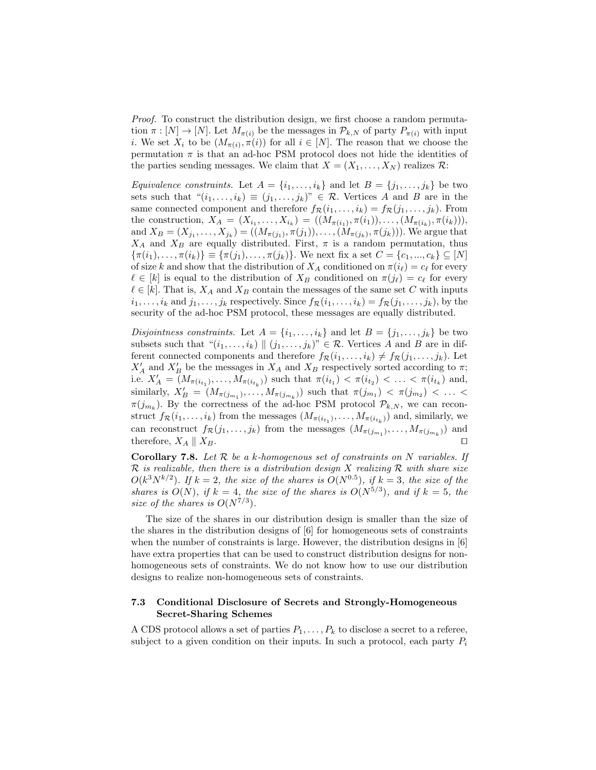Proof. To construct the distribution design, we first choose a random permutation  $\pi : [N] \to [N]$ . Let  $M_{\pi(i)}$  be the messages in  $\mathcal{P}_{k,N}$  of party  $P_{\pi(i)}$  with input *i*. We set  $X_i$  to be  $(M_{\pi(i)}, \pi(i))$  for all  $i \in [N]$ . The reason that we choose the permutation  $\pi$  is that an ad-hoc PSM protocol does not hide the identities of the parties sending messages. We claim that  $X = (X_1, \ldots, X_N)$  realizes  $\mathcal{R}$ :

Equivalence constraints. Let  $A = \{i_1, \ldots, i_k\}$  and let  $B = \{j_1, \ldots, j_k\}$  be two sets such that  $((i_1, \ldots, i_k) \equiv (j_1, \ldots, j_k))^n \in \mathcal{R}$ . Vertices A and B are in the same connected component and therefore  $f_{\mathcal{R}}(i_1, \ldots, i_k) = f_{\mathcal{R}}(j_1, \ldots, j_k)$ . From the construction,  $X_A = (X_{i_1},...,X_{i_k}) = ((M_{\pi(i_1)},\pi(i_1)),...,M_{\pi(i_k)},\pi(i_k))),$ and  $X_B = (X_{j_1}, \ldots, X_{j_k}) = ((M_{\pi(j_1)}, \pi(j_1)), \ldots, (M_{\pi(j_k)}, \pi(j_k))).$  We argue that  $X_A$  and  $X_B$  are equally distributed. First,  $\pi$  is a random permutation, thus  $\{\pi(i_1), \ldots, \pi(i_k)\} \equiv \{\pi(j_1), \ldots, \pi(j_k)\}.$  We next fix a set  $C = \{c_1, \ldots, c_k\} \subseteq [N]$ of size k and show that the distribution of  $X_A$  conditioned on  $\pi(i_\ell) = c_\ell$  for every  $\ell \in [k]$  is equal to the distribution of  $X_B$  conditioned on  $\pi(j_\ell) = c_\ell$  for every  $\ell \in [k]$ . That is,  $X_A$  and  $X_B$  contain the messages of the same set C with inputs  $i_1, \ldots, i_k$  and  $j_1, \ldots, j_k$  respectively. Since  $f_{\mathcal{R}}(i_1, \ldots, i_k) = f_{\mathcal{R}}(j_1, \ldots, j_k)$ , by the security of the ad-hoc PSM protocol, these messages are equally distributed.

Disjointness constraints. Let  $A = \{i_1, \ldots, i_k\}$  and let  $B = \{j_1, \ldots, j_k\}$  be two subsets such that  $\mathcal{L}(i_1, \ldots, i_k) \parallel (j_1, \ldots, j_k) \in \mathcal{R}$ . Vertices A and B are in different connected components and therefore  $f_{\mathcal{R}}(i_1, \ldots, i_k) \neq f_{\mathcal{R}}(j_1, \ldots, j_k)$ . Let  $X'_A$  and  $X'_B$  be the messages in  $X_A$  and  $X_B$  respectively sorted according to  $\pi$ ; i.e.  $X'_A = (M_{\pi(i_{t_1})}, \ldots, M_{\pi(i_{t_k})})$  such that  $\pi(i_{t_1}) < \pi(i_{t_2}) < \ldots < \pi(i_{t_k})$  and, similarly,  $X'_B = (M_{\pi(j_{m_1})}, \ldots, M_{\pi(j_{m_k})})$  such that  $\pi(j_{m_1}) < \pi(j_{m_2}) < \ldots <$  $\pi(j_{m_k})$ . By the correctness of the ad-hoc PSM protocol  $\mathcal{P}_{k,N}$ , we can reconstruct  $f_{\mathcal{R}}(i_1,\ldots,i_k)$  from the messages  $(M_{\pi(i_{t_1})},\ldots,M_{\pi(i_{t_k})})$  and, similarly, we can reconstruct  $f_{\mathcal{R}}(j_1,\ldots,j_k)$  from the messages  $(M_{\pi(j_{m_1})},\ldots,M_{\pi(j_{m_k})})$  and therefore,  $X_A \parallel X_B$ .

**Corollary 7.8.** Let  $\mathcal{R}$  be a k-homogenous set of constraints on N variables. If  $\mathcal R$  is realizable, then there is a distribution design X realizing  $\mathcal R$  with share size  $O(k^3 N^{k/2})$ . If  $k = 2$ , the size of the shares is  $O(N^{0.5})$ , if  $k = 3$ , the size of the shares is  $O(N)$ , if  $k = 4$ , the size of the shares is  $O(N^{5/3})$ , and if  $k = 5$ , the size of the shares is  $O(N^{7/3})$ .

The size of the shares in our distribution design is smaller than the size of the shares in the distribution designs of [6] for homogeneous sets of constraints when the number of constraints is large. However, the distribution designs in [6] have extra properties that can be used to construct distribution designs for nonhomogeneous sets of constraints. We do not know how to use our distribution designs to realize non-homogeneous sets of constraints.

# 7.3 Conditional Disclosure of Secrets and Strongly-Homogeneous Secret-Sharing Schemes

A CDS protocol allows a set of parties  $P_1, \ldots, P_k$  to disclose a secret to a referee, subject to a given condition on their inputs. In such a protocol, each party  $P_i$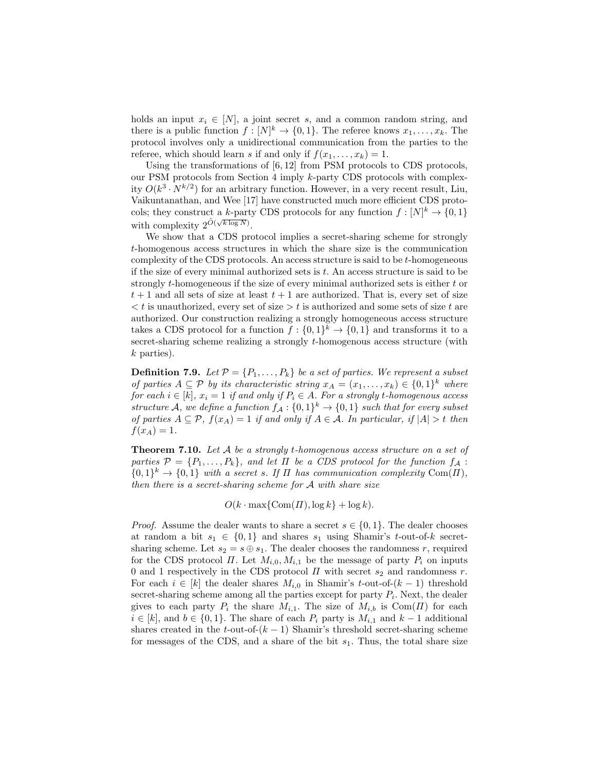holds an input  $x_i \in [N]$ , a joint secret s, and a common random string, and there is a public function  $f : [N]^k \to \{0,1\}$ . The referee knows  $x_1, \ldots, x_k$ . The protocol involves only a unidirectional communication from the parties to the referee, which should learn s if and only if  $f(x_1, \ldots, x_k) = 1$ .

Using the transformations of [6, 12] from PSM protocols to CDS protocols, our PSM protocols from Section 4 imply k-party CDS protocols with complexity  $O(k^3 \cdot N^{k/2})$  for an arbitrary function. However, in a very recent result, Liu, Vaikuntanathan, and Wee [17] have constructed much more efficient CDS protocols; they construct a k-party CDS protocols for any function  $f: [N]^k \to \{0,1\}$ with complexity  $2^{\tilde{O}(\sqrt{k \log N})}$ .

We show that a CDS protocol implies a secret-sharing scheme for strongly t-homogenous access structures in which the share size is the communication complexity of the CDS protocols. An access structure is said to be t-homogeneous if the size of every minimal authorized sets is t. An access structure is said to be strongly  $t$ -homogeneous if the size of every minimal authorized sets is either  $t$  or  $t+1$  and all sets of size at least  $t+1$  are authorized. That is, every set of size  $\langle t \rangle$  is unauthorized, every set of size  $\langle t \rangle$  is authorized and some sets of size t are authorized. Our construction realizing a strongly homogeneous access structure takes a CDS protocol for a function  $f: \{0,1\}^k \to \{0,1\}$  and transforms it to a secret-sharing scheme realizing a strongly t-homogenous access structure (with k parties).

**Definition 7.9.** Let  $\mathcal{P} = \{P_1, \ldots, P_k\}$  be a set of parties. We represent a subset of parties  $A \subseteq \mathcal{P}$  by its characteristic string  $x_A = (x_1, \ldots, x_k) \in \{0,1\}^k$  where for each  $i \in [k]$ ,  $x_i = 1$  if and only if  $P_i \in A$ . For a strongly t-homogenous access structure A, we define a function  $f_A: \{0,1\}^k \to \{0,1\}$  such that for every subset of parties  $A \subseteq \mathcal{P}$ ,  $f(x_A) = 1$  if and only if  $A \in \mathcal{A}$ . In particular, if  $|A| > t$  then  $f(x_A) = 1.$ 

**Theorem 7.10.** Let  $A$  be a strongly t-homogenous access structure on a set of parties  $\mathcal{P} = \{P_1, \ldots, P_k\}$ , and let  $\Pi$  be a CDS protocol for the function  $f_A$ :  $\{0,1\}^k \to \{0,1\}$  with a secret s. If  $\Pi$  has communication complexity Com( $\Pi$ ), then there is a secret-sharing scheme for A with share size

 $O(k \cdot \max\{\text{Com}(\Pi), \log k\} + \log k).$ 

*Proof.* Assume the dealer wants to share a secret  $s \in \{0, 1\}$ . The dealer chooses at random a bit  $s_1 \in \{0,1\}$  and shares  $s_1$  using Shamir's t-out-of-k secretsharing scheme. Let  $s_2 = s \oplus s_1$ . The dealer chooses the randomness r, required for the CDS protocol  $\Pi$ . Let  $M_{i,0}, M_{i,1}$  be the message of party  $P_i$  on inputs 0 and 1 respectively in the CDS protocol  $\Pi$  with secret  $s_2$  and randomness r. For each  $i \in [k]$  the dealer shares  $M_{i,0}$  in Shamir's t-out-of- $(k-1)$  threshold secret-sharing scheme among all the parties except for party  $P_i$ . Next, the dealer gives to each party  $P_i$  the share  $M_{i,1}$ . The size of  $M_{i,b}$  is  $\text{Com}(H)$  for each  $i \in [k]$ , and  $b \in \{0, 1\}$ . The share of each  $P_i$  party is  $M_{i,1}$  and  $k-1$  additional shares created in the t-out-of- $(k-1)$  Shamir's threshold secret-sharing scheme for messages of the CDS, and a share of the bit  $s<sub>1</sub>$ . Thus, the total share size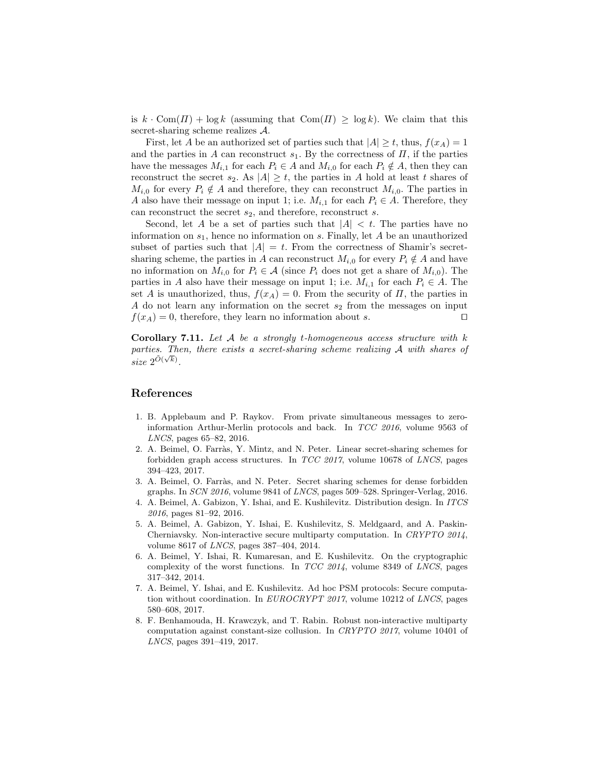is  $k \cdot \text{Com}(H) + \log k$  (assuming that  $\text{Com}(H) \geq \log k$ ). We claim that this secret-sharing scheme realizes A.

First, let A be an authorized set of parties such that  $|A| \ge t$ , thus,  $f(x_A) = 1$ and the parties in A can reconstruct  $s_1$ . By the correctness of  $\Pi$ , if the parties have the messages  $M_{i,1}$  for each  $P_i \in A$  and  $M_{i,0}$  for each  $P_i \notin A$ , then they can reconstruct the secret  $s_2$ . As  $|A| \geq t$ , the parties in A hold at least t shares of  $M_{i,0}$  for every  $P_i \notin A$  and therefore, they can reconstruct  $M_{i,0}$ . The parties in A also have their message on input 1; i.e.  $M_{i,1}$  for each  $P_i \in A$ . Therefore, they can reconstruct the secret  $s_2$ , and therefore, reconstruct s.

Second, let A be a set of parties such that  $|A| < t$ . The parties have no information on  $s_1$ , hence no information on s. Finally, let A be an unauthorized subset of parties such that  $|A| = t$ . From the correctness of Shamir's secretsharing scheme, the parties in A can reconstruct  $M_{i,0}$  for every  $P_i \notin A$  and have no information on  $M_{i,0}$  for  $P_i \in \mathcal{A}$  (since  $P_i$  does not get a share of  $M_{i,0}$ ). The parties in A also have their message on input 1; i.e.  $M_{i,1}$  for each  $P_i \in A$ . The set A is unauthorized, thus,  $f(x_A) = 0$ . From the security of  $\Pi$ , the parties in A do not learn any information on the secret  $s_2$  from the messages on input  $f(x_A) = 0$ , therefore, they learn no information about s.

**Corollary 7.11.** Let  $\mathcal A$  be a strongly t-homogeneous access structure with k parties. Then, there exists a secret-sharing scheme realizing  $\mathcal A$  with shares of size  $2^{\tilde{O}(\sqrt{k})}$ .

# References

- 1. B. Applebaum and P. Raykov. From private simultaneous messages to zeroinformation Arthur-Merlin protocols and back. In TCC 2016, volume 9563 of LNCS, pages 65–82, 2016.
- 2. A. Beimel, O. Farr`as, Y. Mintz, and N. Peter. Linear secret-sharing schemes for forbidden graph access structures. In TCC 2017, volume 10678 of LNCS, pages 394–423, 2017.
- 3. A. Beimel, O. Farràs, and N. Peter. Secret sharing schemes for dense forbidden graphs. In SCN 2016, volume 9841 of LNCS, pages 509–528. Springer-Verlag, 2016.
- 4. A. Beimel, A. Gabizon, Y. Ishai, and E. Kushilevitz. Distribution design. In ITCS 2016, pages 81–92, 2016.
- 5. A. Beimel, A. Gabizon, Y. Ishai, E. Kushilevitz, S. Meldgaard, and A. Paskin-Cherniavsky. Non-interactive secure multiparty computation. In CRYPTO 2014, volume 8617 of LNCS, pages 387–404, 2014.
- 6. A. Beimel, Y. Ishai, R. Kumaresan, and E. Kushilevitz. On the cryptographic complexity of the worst functions. In  $TCC$  2014, volume 8349 of LNCS, pages 317–342, 2014.
- 7. A. Beimel, Y. Ishai, and E. Kushilevitz. Ad hoc PSM protocols: Secure computation without coordination. In EUROCRYPT 2017, volume 10212 of LNCS, pages 580–608, 2017.
- 8. F. Benhamouda, H. Krawczyk, and T. Rabin. Robust non-interactive multiparty computation against constant-size collusion. In CRYPTO 2017, volume 10401 of LNCS, pages 391–419, 2017.